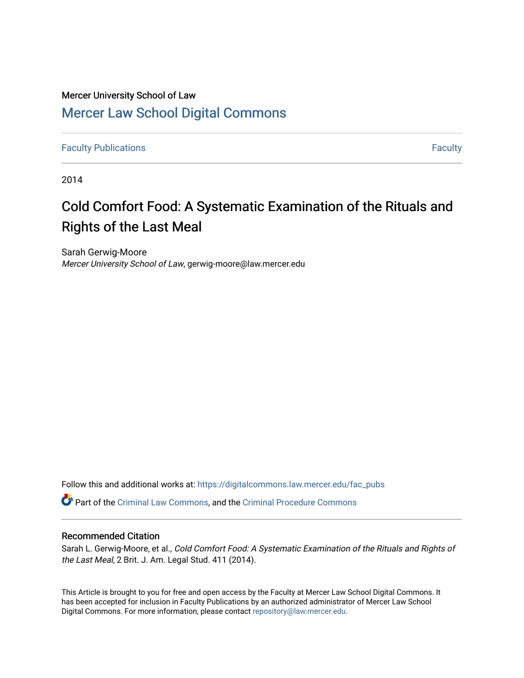# Mercer University School of Law [Mercer Law School Digital Commons](https://digitalcommons.law.mercer.edu/)

**[Faculty Publications](https://digitalcommons.law.mercer.edu/fac_pubs) [Faculty](https://digitalcommons.law.mercer.edu/faculty) Publications** Faculty **Faculty Faculty Faculty Faculty Faculty Faculty Faculty** 

2014

# Cold Comfort Food: A Systematic Examination of the Rituals and Rights of the Last Meal

Sarah Gerwig-Moore Mercer University School of Law, gerwig-moore@law.mercer.edu

Follow this and additional works at: [https://digitalcommons.law.mercer.edu/fac\\_pubs](https://digitalcommons.law.mercer.edu/fac_pubs?utm_source=digitalcommons.law.mercer.edu%2Ffac_pubs%2F4&utm_medium=PDF&utm_campaign=PDFCoverPages) 

Part of the [Criminal Law Commons,](http://network.bepress.com/hgg/discipline/912?utm_source=digitalcommons.law.mercer.edu%2Ffac_pubs%2F4&utm_medium=PDF&utm_campaign=PDFCoverPages) and the [Criminal Procedure Commons](http://network.bepress.com/hgg/discipline/1073?utm_source=digitalcommons.law.mercer.edu%2Ffac_pubs%2F4&utm_medium=PDF&utm_campaign=PDFCoverPages)

#### Recommended Citation

Sarah L. Gerwig-Moore, et al., Cold Comfort Food: A Systematic Examination of the Rituals and Rights of the Last Meal, 2 Brit. J. Am. Legal Stud. 411 (2014).

This Article is brought to you for free and open access by the Faculty at Mercer Law School Digital Commons. It has been accepted for inclusion in Faculty Publications by an authorized administrator of Mercer Law School Digital Commons. For more information, please contact [repository@law.mercer.edu](mailto:repository@law.mercer.edu).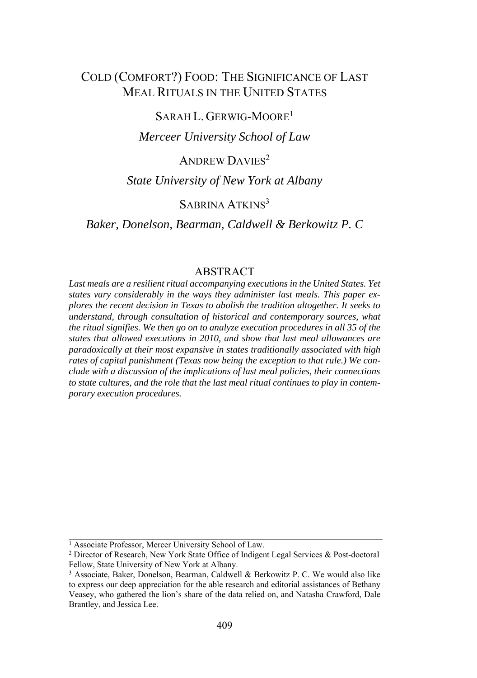# COLD (COMFORT?) FOOD: THE SIGNIFICANCE OF LAST MEAL RITUALS IN THE UNITED STATES

# SARAH L. GERWIG-MOORE<sup>1</sup>

*Merceer University School of Law* 

# ANDREW DAVIES<sup>2</sup>

## *State University of New York at Albany*

# SABRINA ATKINS<sup>3</sup>

#### *Baker, Donelson, Bearman, Caldwell & Berkowitz P. C*

### **ABSTRACT**

*Last meals are a resilient ritual accompanying executions in the United States. Yet states vary considerably in the ways they administer last meals. This paper explores the recent decision in Texas to abolish the tradition altogether. It seeks to understand, through consultation of historical and contemporary sources, what the ritual signifies. We then go on to analyze execution procedures in all 35 of the states that allowed executions in 2010, and show that last meal allowances are paradoxically at their most expansive in states traditionally associated with high rates of capital punishment (Texas now being the exception to that rule.) We conclude with a discussion of the implications of last meal policies, their connections to state cultures, and the role that the last meal ritual continues to play in contemporary execution procedures.*

<sup>&</sup>lt;sup>1</sup> Associate Professor, Mercer University School of Law.

<sup>2</sup> Director of Research, New York State Office of Indigent Legal Services & Post-doctoral Fellow, State University of New York at Albany.<br><sup>3</sup> Associate, Baker, Donelson, Bearman, Caldwell & Berkowitz P. C. We would also like

to express our deep appreciation for the able research and editorial assistances of Bethany Veasey, who gathered the lion's share of the data relied on, and Natasha Crawford, Dale Brantley, and Jessica Lee.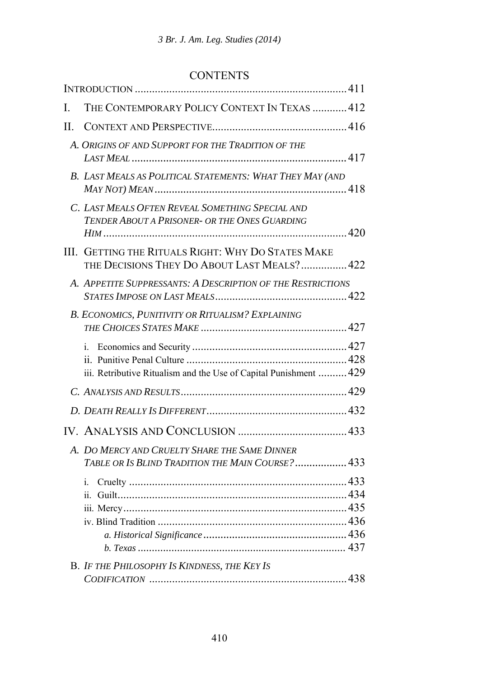# **CONTENTS**

| L       | THE CONTEMPORARY POLICY CONTEXT IN TEXAS  412                                                     |  |
|---------|---------------------------------------------------------------------------------------------------|--|
| $\Pi$ . |                                                                                                   |  |
|         | A. Origins of and Support for the Tradition of the                                                |  |
|         | B. LAST MEALS AS POLITICAL STATEMENTS: WHAT THEY MAY (AND                                         |  |
|         | C. LAST MEALS OFTEN REVEAL SOMETHING SPECIAL AND<br>TENDER ABOUT A PRISONER- OR THE ONES GUARDING |  |
|         | III. GETTING THE RITUALS RIGHT: WHY DO STATES MAKE<br>THE DECISIONS THEY DO ABOUT LAST MEALS? 422 |  |
|         | A. APPETITE SUPPRESSANTS: A DESCRIPTION OF THE RESTRICTIONS                                       |  |
|         | B. ECONOMICS, PUNITIVITY OR RITUALISM? EXPLAINING                                                 |  |
|         | i.<br>iii. Retributive Ritualism and the Use of Capital Punishment  429                           |  |
|         |                                                                                                   |  |
|         |                                                                                                   |  |
|         |                                                                                                   |  |
|         | A. DO MERCY AND CRUELTY SHARE THE SAME DINNER<br>TABLE OR IS BLIND TRADITION THE MAIN COURSE? 433 |  |
|         | i.                                                                                                |  |
|         | <b>B.</b> IF THE PHILOSOPHY IS KINDNESS, THE KEY IS                                               |  |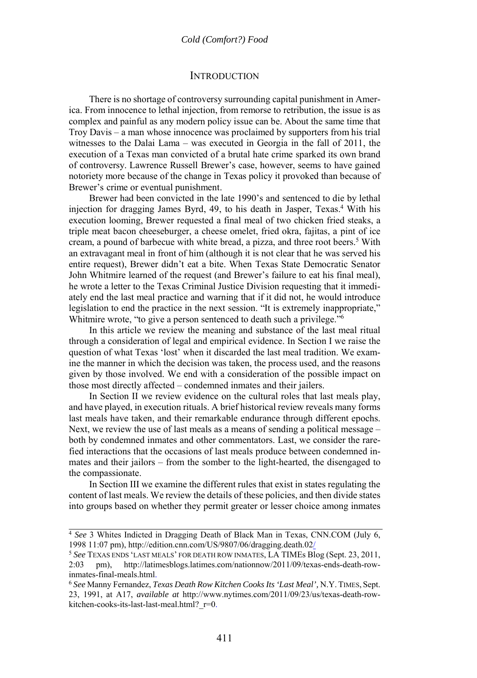#### **INTRODUCTION**

There is no shortage of controversy surrounding capital punishment in America. From innocence to lethal injection, from remorse to retribution, the issue is as complex and painful as any modern policy issue can be. About the same time that Troy Davis – a man whose innocence was proclaimed by supporters from his trial witnesses to the Dalai Lama – was executed in Georgia in the fall of 2011, the execution of a Texas man convicted of a brutal hate crime sparked its own brand of controversy. Lawrence Russell Brewer's case, however, seems to have gained notoriety more because of the change in Texas policy it provoked than because of Brewer's crime or eventual punishment.

Brewer had been convicted in the late 1990's and sentenced to die by lethal injection for dragging James Byrd, 49, to his death in Jasper, Texas.4 With his execution looming, Brewer requested a final meal of two chicken fried steaks, a triple meat bacon cheeseburger, a cheese omelet, fried okra, fajitas, a pint of ice cream, a pound of barbecue with white bread, a pizza, and three root beers.<sup>5</sup> With an extravagant meal in front of him (although it is not clear that he was served his entire request), Brewer didn't eat a bite. When Texas State Democratic Senator John Whitmire learned of the request (and Brewer's failure to eat his final meal), he wrote a letter to the Texas Criminal Justice Division requesting that it immediately end the last meal practice and warning that if it did not, he would introduce legislation to end the practice in the next session. "It is extremely inappropriate," Whitmire wrote, "to give a person sentenced to death such a privilege."<sup>6</sup>

In this article we review the meaning and substance of the last meal ritual through a consideration of legal and empirical evidence. In Section I we raise the question of what Texas 'lost' when it discarded the last meal tradition. We examine the manner in which the decision was taken, the process used, and the reasons given by those involved. We end with a consideration of the possible impact on those most directly affected – condemned inmates and their jailers.

In Section II we review evidence on the cultural roles that last meals play, and have played, in execution rituals. A brief historical review reveals many forms last meals have taken, and their remarkable endurance through different epochs. Next, we review the use of last meals as a means of sending a political message – both by condemned inmates and other commentators. Last, we consider the rarefied interactions that the occasions of last meals produce between condemned inmates and their jailors – from the somber to the light-hearted, the disengaged to the compassionate.

In Section III we examine the different rules that exist in states regulating the content of last meals. We review the details of these policies, and then divide states into groups based on whether they permit greater or lesser choice among inmates

<sup>4</sup> *See* 3 Whites Indicted in Dragging Death of Black Man in Texas, CNN.COM (July 6, 1998 11:07 pm), http://edition.cnn.com/US/9807/06/dragging.death.02/

<sup>5</sup> *See* TEXAS ENDS 'LAST MEALS' FOR DEATH ROW INMATES, LA TIMEs Blog (Sept. 23, 2011, 2:03 pm), http://latimesblogs.latimes.com/nationnow/2011/09/texas-ends-death-rowinmates-final-meals.html.

<sup>6</sup> *See* Manny Fernandez, *Texas Death Row Kitchen Cooks Its 'Last Meal',* N.Y. TIMES, Sept. 23, 1991, at A17, *available at* http://www.nytimes.com/2011/09/23/us/texas-death-rowkitchen-cooks-its-last-last-meal.html? r=0.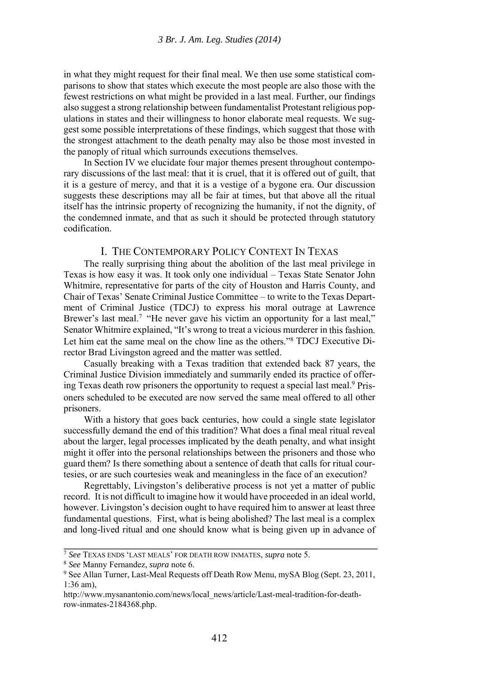in what they might request for their final meal. We then use some statistical comparisons to show that states which execute the most people are also those with the fewest restrictions on what might be provided in a last meal. Further, our findings also suggest a strong relationship between fundamentalist Protestant religious populations in states and their willingness to honor elaborate meal requests. We suggest some possible interpretations of these findings, which suggest that those with the strongest attachment to the death penalty may also be those most invested in the panoply of ritual which surrounds executions themselves.

In Section IV we elucidate four major themes present throughout contemporary discussions of the last meal: that it is cruel, that it is offered out of guilt, that it is a gesture of mercy, and that it is a vestige of a bygone era. Our discussion suggests these descriptions may all be fair at times, but that above all the ritual itself has the intrinsic property of recognizing the humanity, if not the dignity, of the condemned inmate, and that as such it should be protected through statutory codification.

#### I. THE CONTEMPORARY POLICY CONTEXT IN TEXAS

The really surprising thing about the abolition of the last meal privilege in Texas is how easy it was. It took only one individual – Texas State Senator John Whitmire, representative for parts of the city of Houston and Harris County, and Chair of Texas' Senate Criminal Justice Committee – to write to the Texas Department of Criminal Justice (TDCJ) to express his moral outrage at Lawrence Brewer's last meal.<sup>7</sup> "He never gave his victim an opportunity for a last meal," Senator Whitmire explained, "It's wrong to treat a vicious murderer in this fashion. Let him eat the same meal on the chow line as the others."8 TDCJ Executive Director Brad Livingston agreed and the matter was settled.

Casually breaking with a Texas tradition that extended back 87 years, the Criminal Justice Division immediately and summarily ended its practice of offering Texas death row prisoners the opportunity to request a special last meal.9 Prisoners scheduled to be executed are now served the same meal offered to all other prisoners.

With a history that goes back centuries, how could a single state legislator successfully demand the end of this tradition? What does a final meal ritual reveal about the larger, legal processes implicated by the death penalty, and what insight might it offer into the personal relationships between the prisoners and those who guard them? Is there something about a sentence of death that calls for ritual courtesies, or are such courtesies weak and meaningless in the face of an execution?

Regrettably, Livingston's deliberative process is not yet a matter of public record. It is not difficult to imagine how it would have proceeded in an ideal world, however. Livingston's decision ought to have required him to answer at least three fundamental questions. First, what is being abolished? The last meal is a complex and long-lived ritual and one should know what is being given up in advance of

<sup>7</sup> *See* TEXAS ENDS 'LAST MEALS' FOR DEATH ROW INMATES, *supra* note 5. 8 *See* Manny Fernandez, *supra* note 6. 9 See Allan Turner, Last-Meal Requests off Death Row Menu, mySA Blog (Sept. 23, 2011, 1:36 am),

http://www.mysanantonio.com/news/local\_news/article/Last-meal-tradition-for-deathrow-inmates-2184368.php.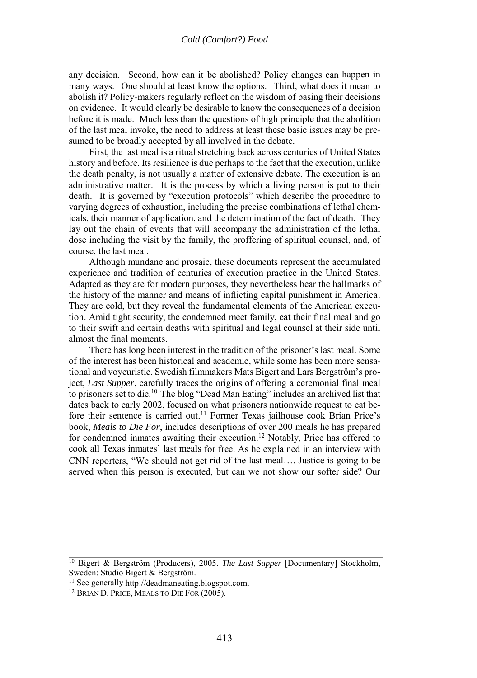any decision. Second, how can it be abolished? Policy changes can happen in many ways. One should at least know the options. Third, what does it mean to abolish it? Policy-makers regularly reflect on the wisdom of basing their decisions on evidence. It would clearly be desirable to know the consequences of a decision before it is made. Much less than the questions of high principle that the abolition of the last meal invoke, the need to address at least these basic issues may be presumed to be broadly accepted by all involved in the debate.

First, the last meal is a ritual stretching back across centuries of United States history and before. Its resilience is due perhaps to the fact that the execution, unlike the death penalty, is not usually a matter of extensive debate. The execution is an administrative matter. It is the process by which a living person is put to their death. It is governed by "execution protocols" which describe the procedure to varying degrees of exhaustion, including the precise combinations of lethal chemicals, their manner of application, and the determination of the fact of death. They lay out the chain of events that will accompany the administration of the lethal dose including the visit by the family, the proffering of spiritual counsel, and, of course, the last meal.

Although mundane and prosaic, these documents represent the accumulated experience and tradition of centuries of execution practice in the United States. Adapted as they are for modern purposes, they nevertheless bear the hallmarks of the history of the manner and means of inflicting capital punishment in America. They are cold, but they reveal the fundamental elements of the American execution. Amid tight security, the condemned meet family, eat their final meal and go to their swift and certain deaths with spiritual and legal counsel at their side until almost the final moments.

There has long been interest in the tradition of the prisoner's last meal. Some of the interest has been historical and academic, while some has been more sensational and voyeuristic. Swedish filmmakers Mats Bigert and Lars Bergström's project, *Last Supper*, carefully traces the origins of offering a ceremonial final meal to prisoners set to die.10 The blog "Dead Man Eating" includes an archived list that dates back to early 2002, focused on what prisoners nationwide request to eat before their sentence is carried out.<sup>11</sup> Former Texas jailhouse cook Brian Price's book, *Meals to Die For*, includes descriptions of over 200 meals he has prepared for condemned inmates awaiting their execution.<sup>12</sup> Notably, Price has offered to cook all Texas inmates' last meals for free. As he explained in an interview with CNN reporters, "We should not get rid of the last meal…. Justice is going to be served when this person is executed, but can we not show our softer side? Our

<sup>10</sup> Bigert & Bergström (Producers), 2005. *The Last Supper* [Documentary] Stockholm, Sweden: Studio Bigert & Bergström.<br><sup>11</sup> See generally http://deadmaneating.blogspot.com.

<sup>&</sup>lt;sup>12</sup> BRIAN D. PRICE, MEALS TO DIE FOR (2005).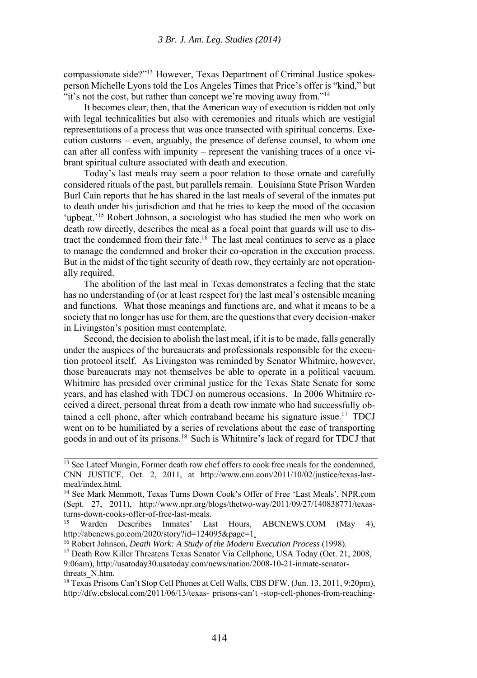compassionate side?"13 However, Texas Department of Criminal Justice spokesperson Michelle Lyons told the Los Angeles Times that Price's offer is "kind," but "it's not the cost, but rather than concept we're moving away from."<sup>14</sup>

It becomes clear, then, that the American way of execution is ridden not only with legal technicalities but also with ceremonies and rituals which are vestigial representations of a process that was once transected with spiritual concerns. Execution customs – even, arguably, the presence of defense counsel, to whom one can after all confess with impunity – represent the vanishing traces of a once vibrant spiritual culture associated with death and execution.

Today's last meals may seem a poor relation to those ornate and carefully considered rituals of the past, but parallels remain. Louisiana State Prison Warden Burl Cain reports that he has shared in the last meals of several of the inmates put to death under his jurisdiction and that he tries to keep the mood of the occasion 'upbeat.'15 Robert Johnson, a sociologist who has studied the men who work on death row directly, describes the meal as a focal point that guards will use to distract the condemned from their fate.16 The last meal continues to serve as a place to manage the condemned and broker their co-operation in the execution process. But in the midst of the tight security of death row, they certainly are not operationally required.

The abolition of the last meal in Texas demonstrates a feeling that the state has no understanding of (or at least respect for) the last meal's ostensible meaning and functions. What those meanings and functions are, and what it means to be a society that no longer has use for them, are the questions that every decision-maker in Livingston's position must contemplate.

Second, the decision to abolish the last meal, if it is to be made, falls generally under the auspices of the bureaucrats and professionals responsible for the execution protocol itself. As Livingston was reminded by Senator Whitmire, however, those bureaucrats may not themselves be able to operate in a political vacuum. Whitmire has presided over criminal justice for the Texas State Senate for some years, and has clashed with TDCJ on numerous occasions. In 2006 Whitmire received a direct, personal threat from a death row inmate who had successfully obtained a cell phone, after which contraband became his signature issue.<sup>17</sup> TDCJ went on to be humiliated by a series of revelations about the ease of transporting goods in and out of its prisons.18 Such is Whitmire's lack of regard for TDCJ that

 $13$  See Lateef Mungin, Former death row chef offers to cook free meals for the condemned, CNN JUSTICE, Oct. 2, 2011, at http://www.cnn.com/2011/10/02/justice/texas-lastmeal/index.html.

<sup>14</sup> See Mark Memmott, Texas Turns Down Cook's Offer of Free 'Last Meals', NPR.com (Sept. 27, 2011), http://www.npr.org/blogs/thetwo-way/2011/09/27/140838771/texasturns-down-cooks-offer-of-free-last-meals.

<sup>15</sup> Warden Describes Inmates' Last Hours, ABCNEWS.COM (May 4), http://abcnews.go.com/2020/story?id=124095&page=1.

<sup>&</sup>lt;sup>16</sup> Robert Johnson, *Death Work: A Study of the Modern Execution Process* (1998).<br><sup>17</sup> Death Row Killer Threatens Texas Senator Via Cellphone, USA Today (Oct. 21, 2008,

<sup>9:06</sup>am), http://usatoday30.usatoday.com/news/nation/2008-10-21-inmate-senatorthreats\_N.htm.

<sup>&</sup>lt;sup>18</sup> Texas Prisons Can't Stop Cell Phones at Cell Walls, CBS DFW. (Jun. 13, 2011, 9:20pm), http://dfw.cbslocal.com/2011/06/13/texas- prisons-can't -stop-cell-phones-from-reaching-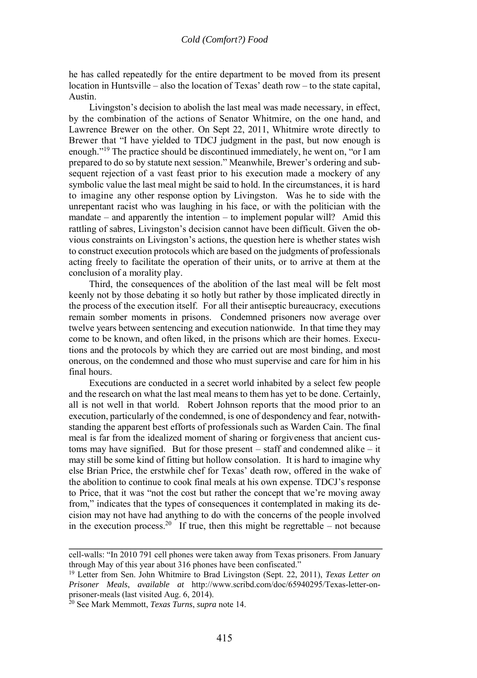he has called repeatedly for the entire department to be moved from its present location in Huntsville – also the location of Texas' death row – to the state capital, Austin.

Livingston's decision to abolish the last meal was made necessary, in effect, by the combination of the actions of Senator Whitmire, on the one hand, and Lawrence Brewer on the other. On Sept 22, 2011, Whitmire wrote directly to Brewer that "I have yielded to TDCJ judgment in the past, but now enough is enough."19 The practice should be discontinued immediately, he went on, "or I am prepared to do so by statute next session." Meanwhile, Brewer's ordering and subsequent rejection of a vast feast prior to his execution made a mockery of any symbolic value the last meal might be said to hold. In the circumstances, it is hard to imagine any other response option by Livingston. Was he to side with the unrepentant racist who was laughing in his face, or with the politician with the mandate – and apparently the intention – to implement popular will? Amid this rattling of sabres, Livingston's decision cannot have been difficult. Given the obvious constraints on Livingston's actions, the question here is whether states wish to construct execution protocols which are based on the judgments of professionals acting freely to facilitate the operation of their units, or to arrive at them at the conclusion of a morality play.

Third, the consequences of the abolition of the last meal will be felt most keenly not by those debating it so hotly but rather by those implicated directly in the process of the execution itself. For all their antiseptic bureaucracy, executions remain somber moments in prisons. Condemned prisoners now average over twelve years between sentencing and execution nationwide. In that time they may come to be known, and often liked, in the prisons which are their homes. Executions and the protocols by which they are carried out are most binding, and most onerous, on the condemned and those who must supervise and care for him in his final hours.

Executions are conducted in a secret world inhabited by a select few people and the research on what the last meal means to them has yet to be done. Certainly, all is not well in that world. Robert Johnson reports that the mood prior to an execution, particularly of the condemned, is one of despondency and fear, notwithstanding the apparent best efforts of professionals such as Warden Cain. The final meal is far from the idealized moment of sharing or forgiveness that ancient customs may have signified. But for those present – staff and condemned alike – it may still be some kind of fitting but hollow consolation. It is hard to imagine why else Brian Price, the erstwhile chef for Texas' death row, offered in the wake of the abolition to continue to cook final meals at his own expense. TDCJ's response to Price, that it was "not the cost but rather the concept that we're moving away from," indicates that the types of consequences it contemplated in making its decision may not have had anything to do with the concerns of the people involved in the execution process.<sup>20</sup> If true, then this might be regrettable – not because

cell-walls: "In 2010 791 cell phones were taken away from Texas prisoners. From January through May of this year about 316 phones have been confiscated."

<sup>19</sup> Letter from Sen. John Whitmire to Brad Livingston (Sept. 22, 2011), *Texas Letter on Prisoner Meals*, *available at* http://www.scribd.com/doc/65940295/Texas-letter-onprisoner-meals (last visited Aug. 6, 2014).

<sup>20</sup> See Mark Memmott, *Texas Turns*, *supra* note 14.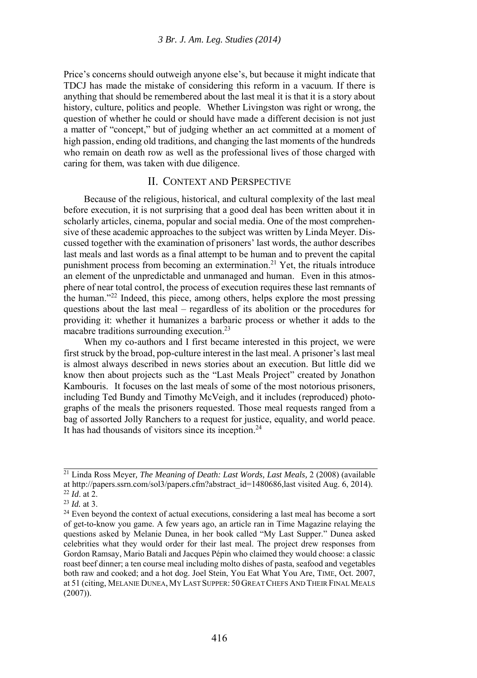Price's concerns should outweigh anyone else's, but because it might indicate that TDCJ has made the mistake of considering this reform in a vacuum. If there is anything that should be remembered about the last meal it is that it is a story about history, culture, politics and people. Whether Livingston was right or wrong, the question of whether he could or should have made a different decision is not just a matter of "concept," but of judging whether an act committed at a moment of high passion, ending old traditions, and changing the last moments of the hundreds who remain on death row as well as the professional lives of those charged with caring for them, was taken with due diligence.

#### II. CONTEXT AND PERSPECTIVE

Because of the religious, historical, and cultural complexity of the last meal before execution, it is not surprising that a good deal has been written about it in scholarly articles, cinema, popular and social media. One of the most comprehensive of these academic approaches to the subject was written by Linda Meyer. Discussed together with the examination of prisoners' last words, the author describes last meals and last words as a final attempt to be human and to prevent the capital punishment process from becoming an extermination.<sup>21</sup> Yet, the rituals introduce an element of the unpredictable and unmanaged and human. Even in this atmosphere of near total control, the process of execution requires these last remnants of the human."22 Indeed, this piece, among others, helps explore the most pressing questions about the last meal – regardless of its abolition or the procedures for providing it: whether it humanizes a barbaric process or whether it adds to the macabre traditions surrounding execution.<sup>23</sup>

When my co-authors and I first became interested in this project, we were first struck by the broad, pop-culture interest in the last meal. A prisoner's last meal is almost always described in news stories about an execution. But little did we know then about projects such as the "Last Meals Project" created by Jonathon Kambouris. It focuses on the last meals of some of the most notorious prisoners, including Ted Bundy and Timothy McVeigh, and it includes (reproduced) photographs of the meals the prisoners requested. Those meal requests ranged from a bag of assorted Jolly Ranchers to a request for justice, equality, and world peace. It has had thousands of visitors since its inception.<sup>24</sup>

<sup>21</sup> Linda Ross Meyer*, The Meaning of Death: Last Words, Last Meals,* 2 (2008) (available at http://papers.ssrn.com/sol3/papers.cfm?abstract\_id=1480686,last visited Aug. 6, 2014).<br><sup>22</sup> *Id.* at 2.<br><sup>23</sup> *Id.* at 3.<br><sup>24</sup> Even beyond the context of actual executions, considering a last meal has become a sort

of get-to-know you game. A few years ago, an article ran in Time Magazine relaying the questions asked by Melanie Dunea, in her book called "My Last Supper." Dunea asked celebrities what they would order for their last meal. The project drew responses from Gordon Ramsay, Mario Batali and Jacques Pépin who claimed they would choose: a classic roast beef dinner; a ten course meal including molto dishes of pasta, seafood and vegetables both raw and cooked; and a hot dog. Joel Stein, You Eat What You Are, TIME, Oct. 2007, at 51 (citing, MELANIE DUNEA, MY LAST SUPPER: 50 GREAT CHEFS AND THEIR FINAL MEALS (2007)).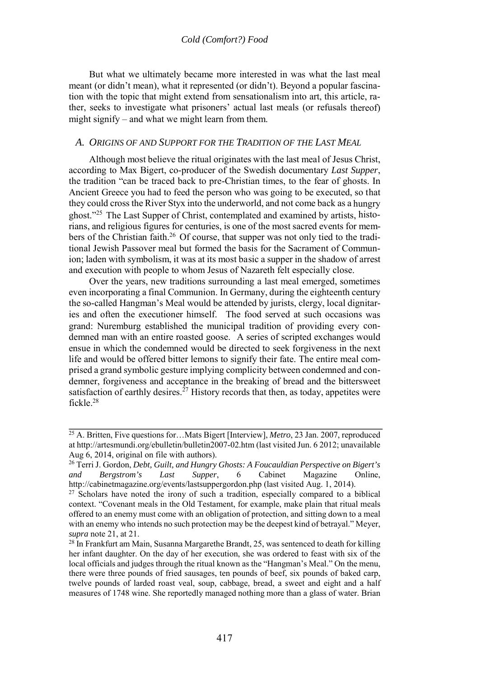But what we ultimately became more interested in was what the last meal meant (or didn't mean), what it represented (or didn't). Beyond a popular fascination with the topic that might extend from sensationalism into art, this article, rather, seeks to investigate what prisoners' actual last meals (or refusals thereof) might signify – and what we might learn from them.

#### *A. ORIGINS OF AND SUPPORT FOR THE TRADITION OF THE LAST MEAL*

Although most believe the ritual originates with the last meal of Jesus Christ, according to Max Bigert, co-producer of the Swedish documentary *Last Supper*, the tradition "can be traced back to pre-Christian times, to the fear of ghosts. In Ancient Greece you had to feed the person who was going to be executed, so that they could cross the River Styx into the underworld, and not come back as a hungry ghost."25 The Last Supper of Christ, contemplated and examined by artists, historians, and religious figures for centuries, is one of the most sacred events for members of the Christian faith.<sup>26</sup> Of course, that supper was not only tied to the traditional Jewish Passover meal but formed the basis for the Sacrament of Communion; laden with symbolism, it was at its most basic a supper in the shadow of arrest and execution with people to whom Jesus of Nazareth felt especially close.

Over the years, new traditions surrounding a last meal emerged, sometimes even incorporating a final Communion. In Germany, during the eighteenth century the so-called Hangman's Meal would be attended by jurists, clergy, local dignitaries and often the executioner himself. The food served at such occasions was grand: Nuremburg established the municipal tradition of providing every condemned man with an entire roasted goose. A series of scripted exchanges would ensue in which the condemned would be directed to seek forgiveness in the next life and would be offered bitter lemons to signify their fate. The entire meal comprised a grand symbolic gesture implying complicity between condemned and condemner, forgiveness and acceptance in the breaking of bread and the bittersweet satisfaction of earthly desires.<sup> $27$ </sup> History records that then, as today, appetites were fickle<sup>28</sup>

<sup>25</sup> A. Britten, Five questions for…Mats Bigert [Interview], *Metro*, 23 Jan. 2007, reproduced at http://artesmundi.org/ebulletin/bulletin2007-02.htm (last visited Jun. 6 2012; unavailable Aug 6, 2014, original on file with authors).

<sup>26</sup> Terri J. Gordon, *Debt, Guilt, and Hungry Ghosts: A Foucauldian Perspective on Bigert's*  and Bergstrom's Last Supper, 6 Cabinet Magazine Online, http://cabinetmagazine.org/events/lastsuppergordon.php (last visited Aug. 1, 2014).

 $27$  Scholars have noted the irony of such a tradition, especially compared to a biblical context. "Covenant meals in the Old Testament, for example, make plain that ritual meals offered to an enemy must come with an obligation of protection, and sitting down to a meal with an enemy who intends no such protection may be the deepest kind of betrayal." Meyer, *supra* note 21, at 21.<br><sup>28</sup> In Frankfurt am Main, Susanna Margarethe Brandt, 25, was sentenced to death for killing

her infant daughter. On the day of her execution, she was ordered to feast with six of the local officials and judges through the ritual known as the "Hangman's Meal." On the menu, there were three pounds of fried sausages, ten pounds of beef, six pounds of baked carp, twelve pounds of larded roast veal, soup, cabbage, bread, a sweet and eight and a half measures of 1748 wine. She reportedly managed nothing more than a glass of water. Brian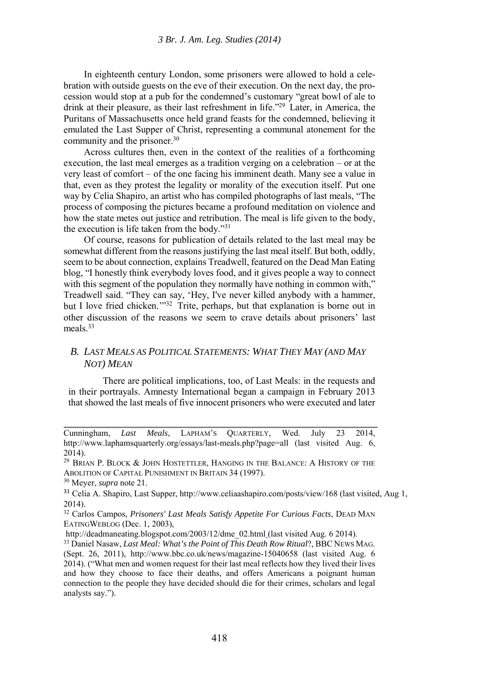In eighteenth century London, some prisoners were allowed to hold a celebration with outside guests on the eve of their execution. On the next day, the procession would stop at a pub for the condemned's customary "great bowl of ale to drink at their pleasure, as their last refreshment in life."29 Later, in America, the Puritans of Massachusetts once held grand feasts for the condemned, believing it emulated the Last Supper of Christ, representing a communal atonement for the community and the prisoner.<sup>30</sup>

Across cultures then, even in the context of the realities of a forthcoming execution, the last meal emerges as a tradition verging on a celebration – or at the very least of comfort – of the one facing his imminent death. Many see a value in that, even as they protest the legality or morality of the execution itself. Put one way by Celia Shapiro, an artist who has compiled photographs of last meals, "The process of composing the pictures became a profound meditation on violence and how the state metes out justice and retribution. The meal is life given to the body, the execution is life taken from the body."31

Of course, reasons for publication of details related to the last meal may be somewhat different from the reasons justifying the last meal itself. But both, oddly, seem to be about connection, explains Treadwell, featured on the Dead Man Eating blog, "I honestly think everybody loves food, and it gives people a way to connect with this segment of the population they normally have nothing in common with," Treadwell said. "They can say, 'Hey, I've never killed anybody with a hammer, but I love fried chicken.'"32 Trite, perhaps, but that explanation is borne out in other discussion of the reasons we seem to crave details about prisoners' last meals $33$ 

#### *B. LAST MEALS AS POLITICAL STATEMENTS: WHAT THEY MAY (AND MAY NOT) MEAN*

There are political implications, too, of Last Meals: in the requests and in their portrayals. Amnesty International began a campaign in February 2013 that showed the last meals of five innocent prisoners who were executed and later

Cunningham, *Last Meals*, LAPHAM'S QUARTERLY, Wed. July 23 2014, http://www.laphamsquarterly.org/essays/last-meals.php?page=all (last visited Aug. 6, 2014).

 $29$  Brian P. Block  $\&$  John Hostettler, Hanging in the Balance: A History of the ABOLITION OF CAPITAL PUNISHMENT IN BRITAIN 34 (1997). 30 Meyer, *supra* note 21.

<sup>&</sup>lt;sup>31</sup> Celia A. Shapiro, Last Supper, http://www.celiaashapiro.com/posts/view/168 (last visited, Aug 1, 2014).

<sup>32</sup> Carlos Campos, *Prisoners' Last Meals Satisfy Appetite For Curious Facts*, DEAD MAN EATINGWEBLOG (Dec. 1, 2003),

http://deadmaneating.blogspot.com/2003/12/dme\_02.html (last visited Aug. 6 2014). 33 Daniel Nasaw, *Last Meal: What's the Point of This Death Row Ritual*?, BBC NEWS MAG.

<sup>(</sup>Sept. 26, 2011), http://www.bbc.co.uk/news/magazine-15040658 (last visited Aug. 6 2014). ("What men and women request for their last meal reflects how they lived their lives and how they choose to face their deaths, and offers Americans a poignant human connection to the people they have decided should die for their crimes, scholars and legal analysts say.").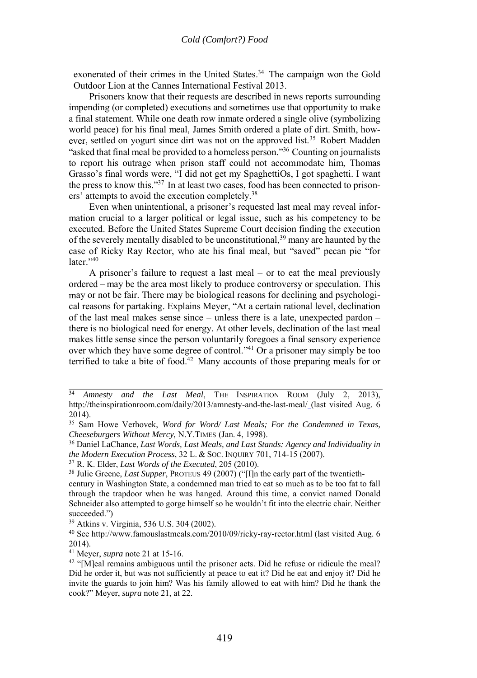exonerated of their crimes in the United States.<sup>34</sup> The campaign won the Gold Outdoor Lion at the Cannes International Festival 2013.

Prisoners know that their requests are described in news reports surrounding impending (or completed) executions and sometimes use that opportunity to make a final statement. While one death row inmate ordered a single olive (symbolizing world peace) for his final meal, James Smith ordered a plate of dirt. Smith, however, settled on yogurt since dirt was not on the approved list.<sup>35</sup> Robert Madden "asked that final meal be provided to a homeless person."36 Counting on journalists to report his outrage when prison staff could not accommodate him, Thomas Grasso's final words were, "I did not get my SpaghettiOs, I got spaghetti. I want the press to know this."37 In at least two cases, food has been connected to prisoners' attempts to avoid the execution completely.38

Even when unintentional, a prisoner's requested last meal may reveal information crucial to a larger political or legal issue, such as his competency to be executed. Before the United States Supreme Court decision finding the execution of the severely mentally disabled to be unconstitutional,<sup>39</sup> many are haunted by the case of Ricky Ray Rector, who ate his final meal, but "saved" pecan pie "for later $.40$ 

A prisoner's failure to request a last meal – or to eat the meal previously ordered – may be the area most likely to produce controversy or speculation. This may or not be fair. There may be biological reasons for declining and psychological reasons for partaking. Explains Meyer, "At a certain rational level, declination of the last meal makes sense since – unless there is a late, unexpected pardon – there is no biological need for energy. At other levels, declination of the last meal makes little sense since the person voluntarily foregoes a final sensory experience over which they have some degree of control."41 Or a prisoner may simply be too terrified to take a bite of food.<sup>42</sup> Many accounts of those preparing meals for or

<sup>34</sup> *Amnesty and the Last Meal*, THE INSPIRATION ROOM (July 2, 2013), http://theinspirationroom.com/daily/2013/amnesty-and-the-last-meal/ (last visited Aug. 6 2014).

<sup>35</sup> Sam Howe Verhovek, *Word for Word/ Last Meals; For the Condemned in Texas, Cheeseburgers Without Mercy, N.Y.TIMES (Jan. 4, 1998).*  $^{36}$  Daniel LaChance, *Last Words, Last Meals, and Last Stands: Agency and Individuality in* 

*the Modern Execution Process*, 32 L. & Soc. INQUIRY 701, 714-15 (2007).<br><sup>37</sup> R. K. Elder, *Last Words of the Executed*, 205 (2010).<br><sup>38</sup> Julie Greene, *Last Supper*, PROTEUS 49 (2007) ("[I]n the early part of the twentiet

century in Washington State, a condemned man tried to eat so much as to be too fat to fall through the trapdoor when he was hanged. Around this time, a convict named Donald Schneider also attempted to gorge himself so he wouldn't fit into the electric chair. Neither succeeded.")

<sup>39</sup> Atkins v. Virginia, 536 U.S. 304 (2002).

<sup>40</sup> See http://www.famouslastmeals.com/2010/09/ricky-ray-rector.html (last visited Aug. 6 2014).<br><sup>41</sup> Mever, *supra* note 21 at 15-16.

<sup>&</sup>lt;sup>42</sup> "[M]eal remains ambiguous until the prisoner acts. Did he refuse or ridicule the meal? Did he order it, but was not sufficiently at peace to eat it? Did he eat and enjoy it? Did he invite the guards to join him? Was his family allowed to eat with him? Did he thank the cook?" Meyer, *supra* note 21, at 22.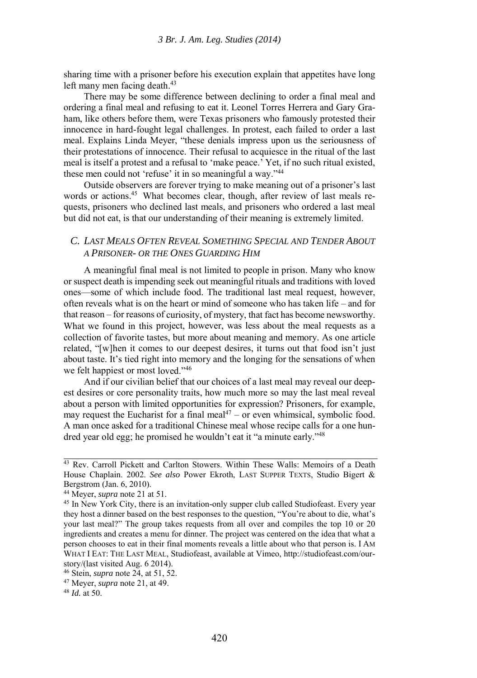sharing time with a prisoner before his execution explain that appetites have long left many men facing death.<sup>43</sup>

There may be some difference between declining to order a final meal and ordering a final meal and refusing to eat it. Leonel Torres Herrera and Gary Graham, like others before them, were Texas prisoners who famously protested their innocence in hard-fought legal challenges. In protest, each failed to order a last meal. Explains Linda Meyer, "these denials impress upon us the seriousness of their protestations of innocence. Their refusal to acquiesce in the ritual of the last meal is itself a protest and a refusal to 'make peace.' Yet, if no such ritual existed, these men could not 'refuse' it in so meaningful a way."44

Outside observers are forever trying to make meaning out of a prisoner's last words or actions.<sup>45</sup> What becomes clear, though, after review of last meals requests, prisoners who declined last meals, and prisoners who ordered a last meal but did not eat, is that our understanding of their meaning is extremely limited.

#### *C. LAST MEALS OFTEN REVEAL SOMETHING SPECIAL AND TENDER ABOUT A PRISONER- OR THE ONES GUARDING HIM*

A meaningful final meal is not limited to people in prison. Many who know or suspect death is impending seek out meaningful rituals and traditions with loved ones—some of which include food. The traditional last meal request, however, often reveals what is on the heart or mind of someone who has taken life – and for that reason – for reasons of curiosity, of mystery, that fact has become newsworthy. What we found in this project, however, was less about the meal requests as a collection of favorite tastes, but more about meaning and memory. As one article related, "[w]hen it comes to our deepest desires, it turns out that food isn't just about taste. It's tied right into memory and the longing for the sensations of when we felt happiest or most loved."46

And if our civilian belief that our choices of a last meal may reveal our deepest desires or core personality traits, how much more so may the last meal reveal about a person with limited opportunities for expression? Prisoners, for example, may request the Eucharist for a final meal<sup>47</sup> – or even whimsical, symbolic food. A man once asked for a traditional Chinese meal whose recipe calls for a one hundred year old egg; he promised he wouldn't eat it "a minute early."48

<sup>&</sup>lt;sup>43</sup> Rev. Carroll Pickett and Carlton Stowers. Within These Walls: Memoirs of a Death House Chaplain. 2002. *See also* Power Ekroth, LAST SUPPER TEXTS, Studio Bigert & Bergstrom (Jan. 6, 2010).

<sup>&</sup>lt;sup>44</sup> Meyer, *supra* note 21 at 51.<br><sup>45</sup> In New York City, there is an invitation-only supper club called Studiofeast. Every year they host a dinner based on the best responses to the question, "You're about to die, what's your last meal?" The group takes requests from all over and compiles the top 10 or 20 ingredients and creates a menu for dinner. The project was centered on the idea that what a person chooses to eat in their final moments reveals a little about who that person is. I AM WHAT I EAT: THE LAST MEAL, Studiofeast, available at Vimeo, http://studiofeast.com/ourstory/(last visited Aug. 6 2014).

<sup>46</sup> Stein, *supra* note 24, at 51, 52. 47 Meyer, *supra* note 21, at 49. 48 *Id.* at 50.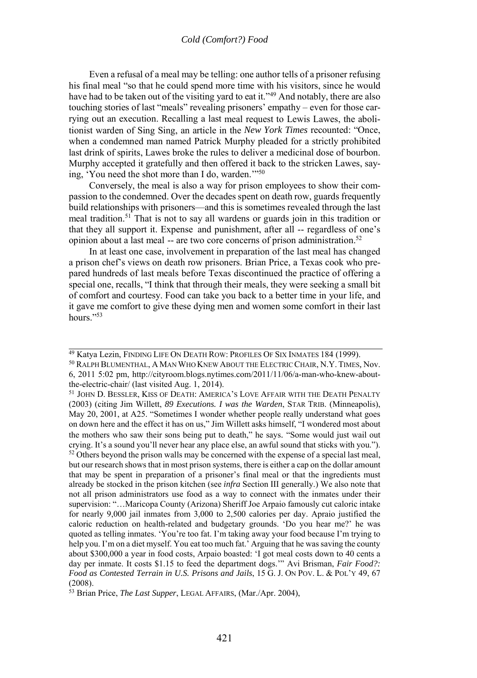Even a refusal of a meal may be telling: one author tells of a prisoner refusing his final meal "so that he could spend more time with his visitors, since he would have had to be taken out of the visiting yard to eat it."<sup>49</sup> And notably, there are also touching stories of last "meals" revealing prisoners' empathy – even for those carrying out an execution. Recalling a last meal request to Lewis Lawes, the abolitionist warden of Sing Sing, an article in the *New York Times* recounted: "Once, when a condemned man named Patrick Murphy pleaded for a strictly prohibited last drink of spirits, Lawes broke the rules to deliver a medicinal dose of bourbon. Murphy accepted it gratefully and then offered it back to the stricken Lawes, saying, 'You need the shot more than I do, warden.'"50

Conversely, the meal is also a way for prison employees to show their compassion to the condemned. Over the decades spent on death row, guards frequently build relationships with prisoners—and this is sometimes revealed through the last meal tradition.51 That is not to say all wardens or guards join in this tradition or that they all support it. Expense and punishment, after all -- regardless of one's opinion about a last meal -- are two core concerns of prison administration.52

In at least one case, involvement in preparation of the last meal has changed a prison chef's views on death row prisoners. Brian Price, a Texas cook who prepared hundreds of last meals before Texas discontinued the practice of offering a special one, recalls, "I think that through their meals, they were seeking a small bit of comfort and courtesy. Food can take you back to a better time in your life, and it gave me comfort to give these dying men and women some comfort in their last hours $\frac{1}{2}$ 

<sup>49</sup> Katya Lezin, FINDING LIFE ON DEATH ROW: PROFILES OF SIX INMATES 184 (1999). 50 RALPH BLUMENTHAL, A MAN WHO KNEW ABOUT THE ELECTRIC CHAIR, N.Y.TIMES*,* Nov.

<sup>6, 2011 5:02</sup> pm, http://cityroom.blogs.nytimes.com/2011/11/06/a-man-who-knew-aboutthe-electric-chair/ (last visited Aug. 1, 2014).

<sup>&</sup>lt;sup>51</sup> JOHN D. BESSLER, KISS OF DEATH: AMERICA'S LOVE AFFAIR WITH THE DEATH PENALTY (2003) (citing Jim Willett, *89 Executions. I was the Warden*, STAR TRIB. (Minneapolis), May 20, 2001, at A25. "Sometimes I wonder whether people really understand what goes on down here and the effect it has on us," Jim Willett asks himself, "I wondered most about the mothers who saw their sons being put to death," he says. "Some would just wail out crying. It's a sound you'll never hear any place else, an awful sound that sticks with you."). <sup>52</sup> Others beyond the prison walls may be concerned with the expense of a special last meal, but our research shows that in most prison systems, there is either a cap on the dollar amount that may be spent in preparation of a prisoner's final meal or that the ingredients must already be stocked in the prison kitchen (see *infra* Section III generally.) We also note that not all prison administrators use food as a way to connect with the inmates under their supervision: "…Maricopa County (Arizona) Sheriff Joe Arpaio famously cut caloric intake for nearly 9,000 jail inmates from 3,000 to 2,500 calories per day. Apraio justified the caloric reduction on health-related and budgetary grounds. 'Do you hear me?' he was quoted as telling inmates. 'You're too fat. I'm taking away your food because I'm trying to help you. I'm on a diet myself. You eat too much fat.' Arguing that he was saving the county about \$300,000 a year in food costs, Arpaio boasted: 'I got meal costs down to 40 cents a day per inmate. It costs \$1.15 to feed the department dogs." Avi Brisman, *Fair Food?*: *Food as Contested Terrain in U.S. Prisons and Jails*, 15 G. J. ON POV. L. & POL'Y 49, 67 (2008).

<sup>53</sup> Brian Price, *The Last Supper*, LEGAL AFFAIRS, (Mar./Apr. 2004),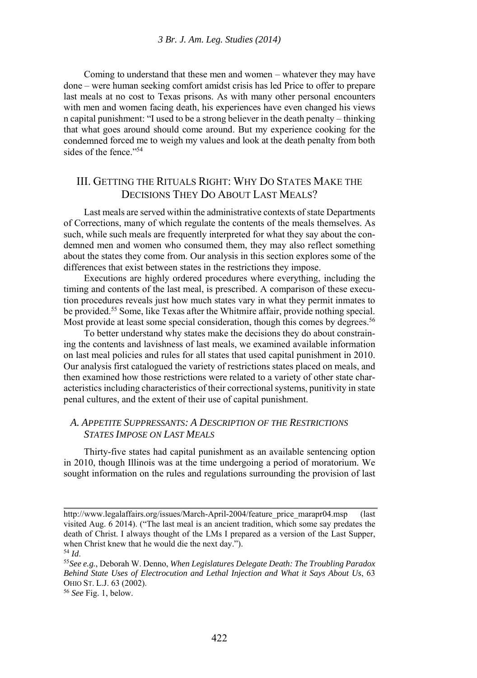Coming to understand that these men and women – whatever they may have done – were human seeking comfort amidst crisis has led Price to offer to prepare last meals at no cost to Texas prisons. As with many other personal encounters with men and women facing death, his experiences have even changed his views n capital punishment: "I used to be a strong believer in the death penalty – thinking that what goes around should come around. But my experience cooking for the condemned forced me to weigh my values and look at the death penalty from both sides of the fence."<sup>54</sup>

## III. GETTING THE RITUALS RIGHT: WHY DO STATES MAKE THE DECISIONS THEY DO ABOUT LAST MEALS?

Last meals are served within the administrative contexts of state Departments of Corrections, many of which regulate the contents of the meals themselves. As such, while such meals are frequently interpreted for what they say about the condemned men and women who consumed them, they may also reflect something about the states they come from. Our analysis in this section explores some of the differences that exist between states in the restrictions they impose.

Executions are highly ordered procedures where everything, including the timing and contents of the last meal, is prescribed. A comparison of these execution procedures reveals just how much states vary in what they permit inmates to be provided.55 Some, like Texas after the Whitmire affair, provide nothing special. Most provide at least some special consideration, though this comes by degrees.<sup>56</sup>

To better understand why states make the decisions they do about constraining the contents and lavishness of last meals, we examined available information on last meal policies and rules for all states that used capital punishment in 2010. Our analysis first catalogued the variety of restrictions states placed on meals, and then examined how those restrictions were related to a variety of other state characteristics including characteristics of their correctional systems, punitivity in state penal cultures, and the extent of their use of capital punishment.

#### *A. APPETITE SUPPRESSANTS: A DESCRIPTION OF THE RESTRICTIONS STATES IMPOSE ON LAST MEALS*

Thirty-five states had capital punishment as an available sentencing option in 2010, though Illinois was at the time undergoing a period of moratorium. We sought information on the rules and regulations surrounding the provision of last

http://www.legalaffairs.org/issues/March-April-2004/feature\_price\_marapr04.msp (last visited Aug. 6 2014). ("The last meal is an ancient tradition, which some say predates the death of Christ. I always thought of the LMs I prepared as a version of the Last Supper, when Christ knew that he would die the next day.").<br><sup>54</sup> *Id.* 55*See e.g.*, Deborah W. Denno, *When Legislatures Delegate Death: The Troubling Paradox* 

*Behind State Uses of Electrocution and Lethal Injection and What it Says About Us*, 63 OHIO ST. L.J. 63 (2002). 56 *See* Fig. 1, below.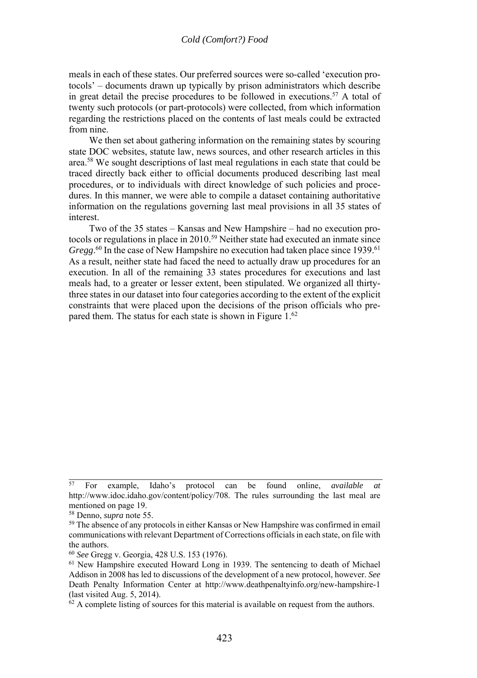meals in each of these states. Our preferred sources were so-called 'execution protocols' – documents drawn up typically by prison administrators which describe in great detail the precise procedures to be followed in executions.<sup>57</sup> A total of twenty such protocols (or part-protocols) were collected, from which information regarding the restrictions placed on the contents of last meals could be extracted from nine.

We then set about gathering information on the remaining states by scouring state DOC websites, statute law, news sources, and other research articles in this area.58 We sought descriptions of last meal regulations in each state that could be traced directly back either to official documents produced describing last meal procedures, or to individuals with direct knowledge of such policies and procedures. In this manner, we were able to compile a dataset containing authoritative information on the regulations governing last meal provisions in all 35 states of interest.

Two of the 35 states – Kansas and New Hampshire – had no execution protocols or regulations in place in 2010.<sup>59</sup> Neither state had executed an inmate since Gregg.<sup>60</sup> In the case of New Hampshire no execution had taken place since 1939.<sup>61</sup> As a result, neither state had faced the need to actually draw up procedures for an execution. In all of the remaining 33 states procedures for executions and last meals had, to a greater or lesser extent, been stipulated. We organized all thirtythree states in our dataset into four categories according to the extent of the explicit constraints that were placed upon the decisions of the prison officials who prepared them. The status for each state is shown in Figure 1.<sup>62</sup>

<sup>57</sup> For example, Idaho's protocol can be found online, *available at* http://www.idoc.idaho.gov/content/policy/708. The rules surrounding the last meal are mentioned on page 19.

<sup>&</sup>lt;sup>58</sup> Denno, *supra* note 55.<br><sup>59</sup> The absence of any protocols in either Kansas or New Hampshire was confirmed in email communications with relevant Department of Corrections officials in each state, on file with the authors.<br> $60 \text{ See Gregg v. Georgia, } 428 \text{ U.S. } 153 \text{ (1976).}$ 

<sup>&</sup>lt;sup>61</sup> New Hampshire executed Howard Long in 1939. The sentencing to death of Michael Addison in 2008 has led to discussions of the development of a new protocol, however. *See* Death Penalty Information Center at http://www.deathpenaltyinfo.org/new-hampshire-1 (last visited Aug. 5, 2014).

<sup>&</sup>lt;sup>62</sup> A complete listing of sources for this material is available on request from the authors.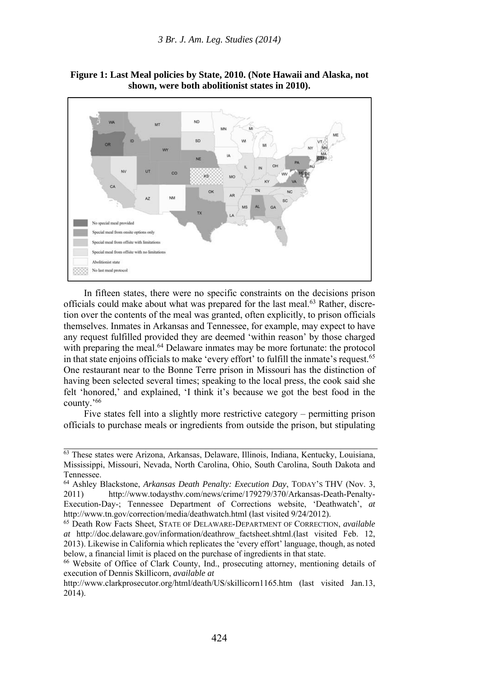

**Figure 1: Last Meal policies by State, 2010. (Note Hawaii and Alaska, not shown, were both abolitionist states in 2010).** 

In fifteen states, there were no specific constraints on the decisions prison officials could make about what was prepared for the last meal.<sup>63</sup> Rather, discretion over the contents of the meal was granted, often explicitly, to prison officials themselves. Inmates in Arkansas and Tennessee, for example, may expect to have any request fulfilled provided they are deemed 'within reason' by those charged with preparing the meal.<sup>64</sup> Delaware inmates may be more fortunate: the protocol in that state enjoins officials to make 'every effort' to fulfill the inmate's request.65 One restaurant near to the Bonne Terre prison in Missouri has the distinction of having been selected several times; speaking to the local press, the cook said she felt 'honored,' and explained, 'I think it's because we got the best food in the county.'66

Five states fell into a slightly more restrictive category – permitting prison officials to purchase meals or ingredients from outside the prison, but stipulating

<sup>&</sup>lt;sup>63</sup> These states were Arizona, Arkansas, Delaware, Illinois, Indiana, Kentucky, Louisiana, Mississippi, Missouri, Nevada, North Carolina, Ohio, South Carolina, South Dakota and Tennessee.

<sup>64</sup> Ashley Blackstone, *Arkansas Death Penalty: Execution Day*, TODAY'S THV (Nov. 3, 2011) http://www.todaysthv.com/news/crime/179279/370/Arkansas-Death-Penalty-Execution-Day-; Tennessee Department of Corrections website, 'Deathwatch', *at* http://www.tn.gov/correction/media/deathwatch.html (last visited 9/24/2012). 65 Death Row Facts Sheet, STATE OF DELAWARE-DEPARTMENT OF CORRECTION, *available* 

*at* http://doc.delaware.gov/information/deathrow\_factsheet.shtml.(last visited Feb. 12, 2013). Likewise in California which replicates the 'every effort' language, though, as noted below, a financial limit is placed on the purchase of ingredients in that state.

<sup>66</sup> Website of Office of Clark County, Ind., prosecuting attorney, mentioning details of execution of Dennis Skillicorn, *available at*

http://www.clarkprosecutor.org/html/death/US/skillicorn1165.htm (last visited Jan.13, 2014).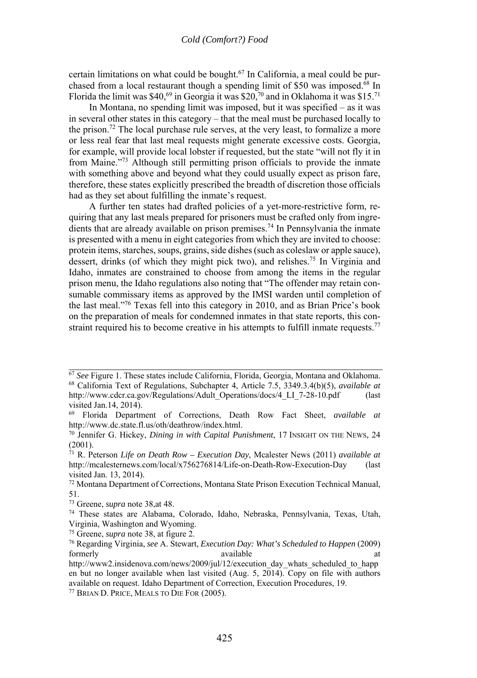certain limitations on what could be bought.67 In California, a meal could be purchased from a local restaurant though a spending limit of \$50 was imposed.<sup> $68$ </sup> In Florida the limit was \$40,<sup>69</sup> in Georgia it was \$20,<sup>70</sup> and in Oklahoma it was \$15.<sup>71</sup>

In Montana, no spending limit was imposed, but it was specified – as it was in several other states in this category – that the meal must be purchased locally to the prison.72 The local purchase rule serves, at the very least, to formalize a more or less real fear that last meal requests might generate excessive costs. Georgia, for example, will provide local lobster if requested, but the state "will not fly it in from Maine."73 Although still permitting prison officials to provide the inmate with something above and beyond what they could usually expect as prison fare. therefore, these states explicitly prescribed the breadth of discretion those officials had as they set about fulfilling the inmate's request.

A further ten states had drafted policies of a yet-more-restrictive form, requiring that any last meals prepared for prisoners must be crafted only from ingredients that are already available on prison premises.74 In Pennsylvania the inmate is presented with a menu in eight categories from which they are invited to choose: protein items, starches, soups, grains, side dishes (such as coleslaw or apple sauce), dessert, drinks (of which they might pick two), and relishes.75 In Virginia and Idaho, inmates are constrained to choose from among the items in the regular prison menu, the Idaho regulations also noting that "The offender may retain consumable commissary items as approved by the IMSI warden until completion of the last meal."76 Texas fell into this category in 2010, and as Brian Price's book on the preparation of meals for condemned inmates in that state reports, this constraint required his to become creative in his attempts to fulfill inmate requests.<sup>77</sup>

<sup>67</sup> *See* Figure 1. These states include California, Florida, Georgia, Montana and Oklahoma. 68 California Text of Regulations, Subchapter 4, Article 7.5, 3349.3.4(b)(5), *available at* http://www.cdcr.ca.gov/Regulations/Adult\_Operations/docs/4\_LI\_7-28-10.pdf (last visited Jan.14, 2014).

<sup>69</sup> Florida Department of Corrections, Death Row Fact Sheet, *available at* http://www.dc.state.fl.us/oth/deathrow/index.html. 70 Jennifer G. Hickey, *Dining in with Capital Punishment*, 17 INSIGHT ON THE NEWS, 24

<sup>(2001).</sup> 

<sup>71</sup> R. Peterson *Life on Death Row – Execution Day*, Mcalester News (2011) *available at* http://mcalesternews.com/local/x756276814/Life-on-Death-Row-Execution-Day (last visited Jan. 13, 2014).

<sup>72</sup> Montana Department of Corrections, Montana State Prison Execution Technical Manual, 51.<br><sup>73</sup> Greene, *supra* note 38, at 48.

<sup>&</sup>lt;sup>74</sup> These states are Alabama, Colorado, Idaho, Nebraska, Pennsylvania, Texas, Utah, Virginia, Washington and Wyoming.

<sup>75</sup> Greene, *supra* note 38, at figure 2. 76 Regarding Virginia, *see* A. Stewart, *Execution Day: What's Scheduled to Happen* (2009) formerly available at a state at a state at a state at a state at a state at a state at a state at a state at  $\alpha$ 

http://www2.insidenova.com/news/2009/jul/12/execution\_day\_whats\_scheduled\_to\_happ en but no longer available when last visited (Aug. 5,  $2014$ ). Copy on file with authors available on request. Idaho Department of Correction, Execution Procedures, 19. 77 BRIAN D. PRICE, MEALS TO DIE FOR (2005).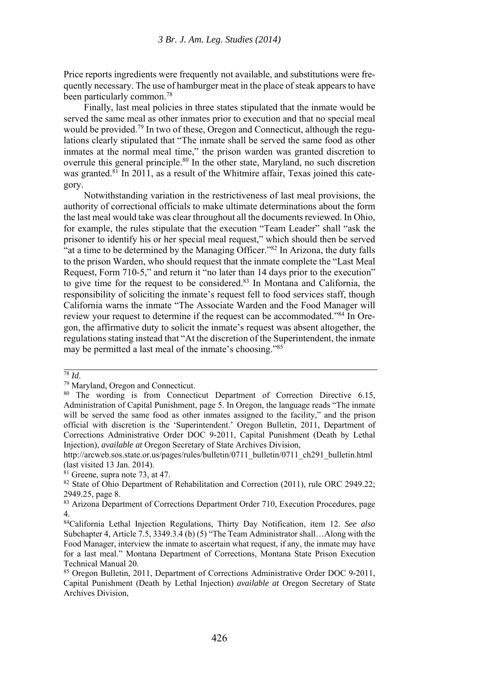Price reports ingredients were frequently not available, and substitutions were frequently necessary. The use of hamburger meat in the place of steak appears to have been particularly common.78

Finally, last meal policies in three states stipulated that the inmate would be served the same meal as other inmates prior to execution and that no special meal would be provided.<sup>79</sup> In two of these, Oregon and Connecticut, although the regulations clearly stipulated that "The inmate shall be served the same food as other inmates at the normal meal time," the prison warden was granted discretion to overrule this general principle.<sup>80</sup> In the other state, Maryland, no such discretion was granted.<sup>81</sup> In 2011, as a result of the Whitmire affair. Texas joined this category.

Notwithstanding variation in the restrictiveness of last meal provisions, the authority of correctional officials to make ultimate determinations about the form the last meal would take was clear throughout all the documents reviewed. In Ohio, for example, the rules stipulate that the execution "Team Leader" shall "ask the prisoner to identify his or her special meal request," which should then be served "at a time to be determined by the Managing Officer."82 In Arizona, the duty falls to the prison Warden, who should request that the inmate complete the "Last Meal Request, Form 710-5," and return it "no later than 14 days prior to the execution" to give time for the request to be considered.83 In Montana and California, the responsibility of soliciting the inmate's request fell to food services staff, though California warns the inmate "The Associate Warden and the Food Manager will review your request to determine if the request can be accommodated."84 In Oregon, the affirmative duty to solicit the inmate's request was absent altogether, the regulations stating instead that "At the discretion of the Superintendent, the inmate may be permitted a last meal of the inmate's choosing."85

<sup>78</sup> *Id*. 79 Maryland, Oregon and Connecticut.

<sup>&</sup>lt;sup>80</sup> The wording is from Connecticut Department of Correction Directive 6.15, Administration of Capital Punishment, page 5. In Oregon, the language reads "The inmate will be served the same food as other inmates assigned to the facility," and the prison official with discretion is the 'Superintendent.' Oregon Bulletin, 2011, Department of Corrections Administrative Order DOC 9-2011, Capital Punishment (Death by Lethal Injection), *available at* Oregon Secretary of State Archives Division,

http://arcweb.sos.state.or.us/pages/rules/bulletin/0711\_bulletin/0711\_ch291\_bulletin.html (last visited 13 Jan. 2014).

 $81$  Greene, supra note 73, at 47.

<sup>&</sup>lt;sup>82</sup> State of Ohio Department of Rehabilitation and Correction (2011), rule ORC 2949.22; 2949.25, page 8.

<sup>83</sup> Arizona Department of Corrections Department Order 710, Execution Procedures, page 4.

<sup>84</sup>California Lethal Injection Regulations, Thirty Day Notification, item 12. *See also* Subchapter 4, Article 7.5, 3349.3.4 (b) (5) "The Team Administrator shall…Along with the Food Manager, interview the inmate to ascertain what request, if any, the inmate may have for a last meal." Montana Department of Corrections, Montana State Prison Execution Technical Manual 20.

<sup>85</sup> Oregon Bulletin, 2011, Department of Corrections Administrative Order DOC 9-2011, Capital Punishment (Death by Lethal Injection) *available at* Oregon Secretary of State Archives Division,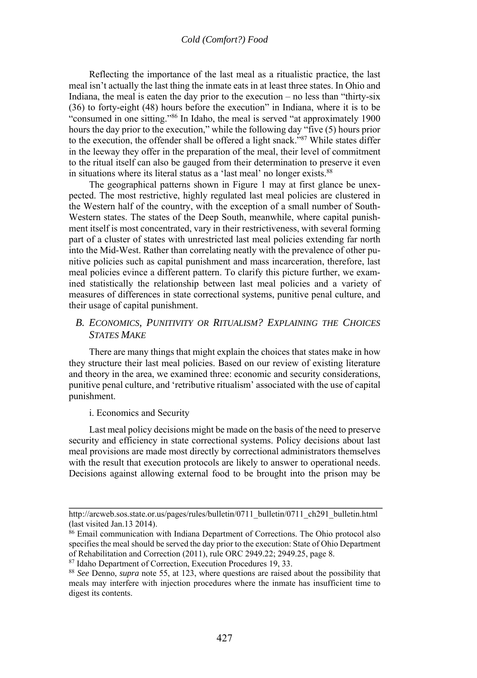Reflecting the importance of the last meal as a ritualistic practice, the last meal isn't actually the last thing the inmate eats in at least three states. In Ohio and Indiana, the meal is eaten the day prior to the execution – no less than "thirty-six (36) to forty-eight (48) hours before the execution" in Indiana, where it is to be "consumed in one sitting."86 In Idaho, the meal is served "at approximately 1900 hours the day prior to the execution," while the following day "five (5) hours prior to the execution, the offender shall be offered a light snack."87 While states differ in the leeway they offer in the preparation of the meal, their level of commitment to the ritual itself can also be gauged from their determination to preserve it even in situations where its literal status as a 'last meal' no longer exists.<sup>88</sup>

The geographical patterns shown in Figure 1 may at first glance be unexpected. The most restrictive, highly regulated last meal policies are clustered in the Western half of the country, with the exception of a small number of South-Western states. The states of the Deep South, meanwhile, where capital punishment itself is most concentrated, vary in their restrictiveness, with several forming part of a cluster of states with unrestricted last meal policies extending far north into the Mid-West. Rather than correlating neatly with the prevalence of other punitive policies such as capital punishment and mass incarceration, therefore, last meal policies evince a different pattern. To clarify this picture further, we examined statistically the relationship between last meal policies and a variety of measures of differences in state correctional systems, punitive penal culture, and their usage of capital punishment.

#### *B. ECONOMICS, PUNITIVITY OR RITUALISM? EXPLAINING THE CHOICES STATES MAKE*

There are many things that might explain the choices that states make in how they structure their last meal policies. Based on our review of existing literature and theory in the area, we examined three: economic and security considerations, punitive penal culture, and 'retributive ritualism' associated with the use of capital punishment.

#### i. Economics and Security

Last meal policy decisions might be made on the basis of the need to preserve security and efficiency in state correctional systems. Policy decisions about last meal provisions are made most directly by correctional administrators themselves with the result that execution protocols are likely to answer to operational needs. Decisions against allowing external food to be brought into the prison may be

http://arcweb.sos.state.or.us/pages/rules/bulletin/0711\_bulletin/0711\_ch291\_bulletin.html (last visited Jan.13 2014).

<sup>86</sup> Email communication with Indiana Department of Corrections. The Ohio protocol also specifies the meal should be served the day prior to the execution: State of Ohio Department of Rehabilitation and Correction (2011), rule ORC 2949.22; 2949.25, page 8.

<sup>87</sup> Idaho Department of Correction, Execution Procedures 19, 33. 88 *See* Denno, *supra* note 55, at 123, where questions are raised about the possibility that meals may interfere with injection procedures where the inmate has insufficient time to digest its contents.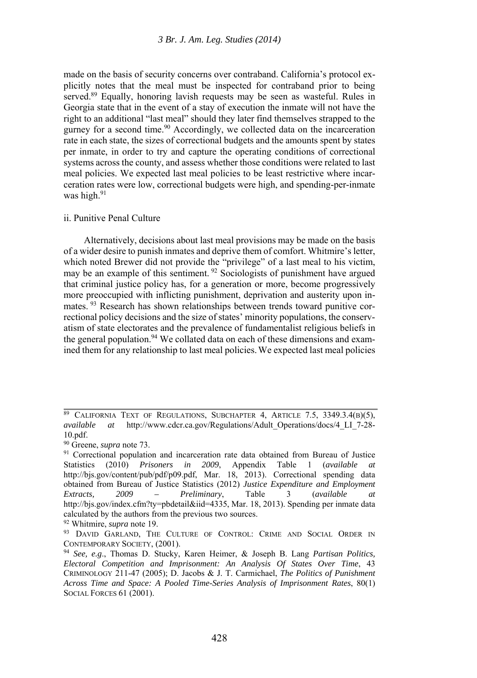made on the basis of security concerns over contraband. California's protocol explicitly notes that the meal must be inspected for contraband prior to being served.<sup>89</sup> Equally, honoring lavish requests may be seen as wasteful. Rules in Georgia state that in the event of a stay of execution the inmate will not have the right to an additional "last meal" should they later find themselves strapped to the gurney for a second time.<sup>90</sup> Accordingly, we collected data on the incarceration rate in each state, the sizes of correctional budgets and the amounts spent by states per inmate, in order to try and capture the operating conditions of correctional systems across the county, and assess whether those conditions were related to last meal policies. We expected last meal policies to be least restrictive where incarceration rates were low, correctional budgets were high, and spending-per-inmate was high.<sup>91</sup>

#### ii. Punitive Penal Culture

Alternatively, decisions about last meal provisions may be made on the basis of a wider desire to punish inmates and deprive them of comfort. Whitmire's letter, which noted Brewer did not provide the "privilege" of a last meal to his victim, may be an example of this sentiment.<sup>92</sup> Sociologists of punishment have argued that criminal justice policy has, for a generation or more, become progressively more preoccupied with inflicting punishment, deprivation and austerity upon inmates.<sup>93</sup> Research has shown relationships between trends toward punitive correctional policy decisions and the size of states' minority populations, the conservatism of state electorates and the prevalence of fundamentalist religious beliefs in the general population.<sup>94</sup> We collated data on each of these dimensions and examined them for any relationship to last meal policies.We expected last meal policies

 $89$  CALIFORNIA TEXT OF REGULATIONS, SUBCHAPTER 4, ARTICLE 7.5, 3349.3.4(B)(5), *available at* http://www.cdcr.ca.gov/Regulations/Adult\_Operations/docs/4\_LI\_7-28- 10.pdf.<br><sup>90</sup> Greene, *supra* note 73.

<sup>&</sup>lt;sup>91</sup> Correctional population and incarceration rate data obtained from Bureau of Justice Statistics (2010) *Prisoners in 2009*, Appendix Table 1 (*available at* http://bjs.gov/content/pub/pdf/p09.pdf, Mar. 18, 2013). Correctional spending data obtained from Bureau of Justice Statistics (2012) *Justice Expenditure and Employment Extracts, 2009 – Preliminary*, Table 3 (*available at*  http://bjs.gov/index.cfm?tv=pbdetail&iid=4335, Mar. 18, 2013). Spending per inmate data calculated by the authors from the previous two sources. 92 Whitmire, *supra* note 19. 93 DAVID GARLAND, THE CULTURE OF CONTROL: CRIME AND SOCIAL ORDER IN

CONTEMPORARY SOCIETY, (2001). 94 *See, e.g*., Thomas D. Stucky, Karen Heimer, & Joseph B. Lang *Partisan Politics,* 

*Electoral Competition and Imprisonment: An Analysis Of States Over Time*, 43 CRIMINOLOGY 211-47 (2005); D. Jacobs & J. T. Carmichael, *The Politics of Punishment Across Time and Space: A Pooled Time-Series Analysis of Imprisonment Rates*, 80(1) SOCIAL FORCES 61 (2001).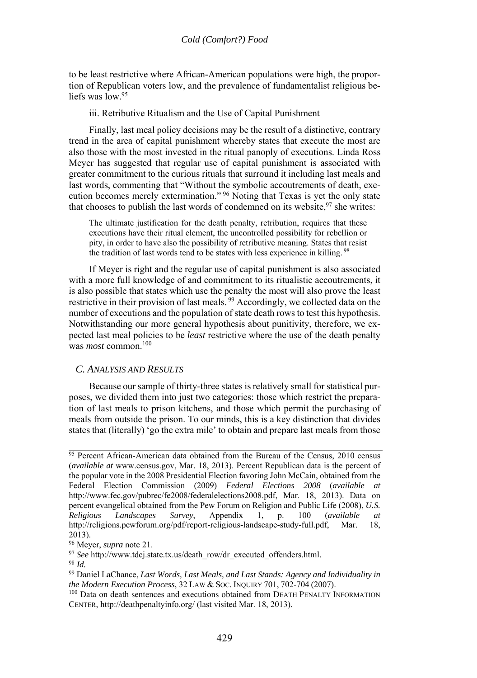to be least restrictive where African-American populations were high, the proportion of Republican voters low, and the prevalence of fundamentalist religious beliefs was low <sup>95</sup>

iii. Retributive Ritualism and the Use of Capital Punishment

Finally, last meal policy decisions may be the result of a distinctive, contrary trend in the area of capital punishment whereby states that execute the most are also those with the most invested in the ritual panoply of executions. Linda Ross Meyer has suggested that regular use of capital punishment is associated with greater commitment to the curious rituals that surround it including last meals and last words, commenting that "Without the symbolic accoutrements of death, execution becomes merely extermination." 96 Noting that Texas is yet the only state that chooses to publish the last words of condemned on its website,  $97$  she writes:

The ultimate justification for the death penalty, retribution, requires that these executions have their ritual element, the uncontrolled possibility for rebellion or pity, in order to have also the possibility of retributive meaning. States that resist the tradition of last words tend to be states with less experience in killing. 98

If Meyer is right and the regular use of capital punishment is also associated with a more full knowledge of and commitment to its ritualistic accoutrements, it is also possible that states which use the penalty the most will also prove the least restrictive in their provision of last meals. 99 Accordingly, we collected data on the number of executions and the population of state death rows to test this hypothesis. Notwithstanding our more general hypothesis about punitivity, therefore, we expected last meal policies to be *least* restrictive where the use of the death penalty was *most* common.100

#### *C. ANALYSIS AND RESULTS*

Because our sample of thirty-three states is relatively small for statistical purposes, we divided them into just two categories: those which restrict the preparation of last meals to prison kitchens, and those which permit the purchasing of meals from outside the prison. To our minds, this is a key distinction that divides states that (literally) 'go the extra mile' to obtain and prepare last meals from those

<sup>&</sup>lt;sup>95</sup> Percent African-American data obtained from the Bureau of the Census, 2010 census (*available at* www.census.gov, Mar. 18, 2013). Percent Republican data is the percent of the popular vote in the 2008 Presidential Election favoring John McCain, obtained from the Federal Election Commission (2009) *Federal Elections 2008* (*available at* http://www.fec.gov/pubrec/fe2008/federalelections2008.pdf, Mar. 18, 2013). Data on percent evangelical obtained from the Pew Forum on Religion and Public Life (2008), *U.S. Religious Landscapes Survey*, Appendix 1, p. 100 (*available at* http://religions.pewforum.org/pdf/report-religious-landscape-study-full.pdf, Mar. 18, 2013).<br><sup>96</sup> Meyer, *supra* note 21.

<sup>97</sup> *See* http://www.tdcj.state.tx.us/death\_row/dr\_executed\_offenders.html.<br><sup>98</sup> *Id.* 99 Daniel LaChance, *Last Words, Last Meals, and Last Stands: Agency and Individuality in*<br>*the Modern Execution Process*, 32 LAW & Soc.

<sup>&</sup>lt;sup>100</sup> Data on death sentences and executions obtained from DEATH PENALTY INFORMATION CENTER, http://deathpenaltyinfo.org/ (last visited Mar. 18, 2013).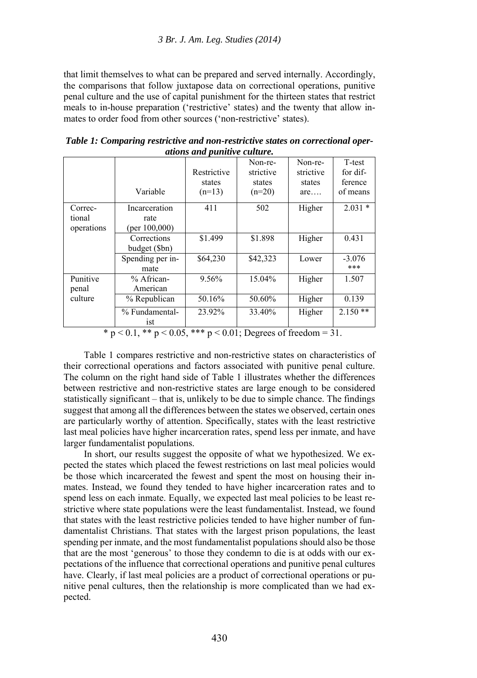that limit themselves to what can be prepared and served internally. Accordingly, the comparisons that follow juxtapose data on correctional operations, punitive penal culture and the use of capital punishment for the thirteen states that restrict meals to in-house preparation ('restrictive' states) and the twenty that allow inmates to order food from other sources ('non-restrictive' states).

| anons ana pannin'e camare. |                              |                                   |                                            |                                       |                                           |  |
|----------------------------|------------------------------|-----------------------------------|--------------------------------------------|---------------------------------------|-------------------------------------------|--|
|                            | Variable                     | Restrictive<br>states<br>$(n=13)$ | Non-re-<br>strictive<br>states<br>$(n=20)$ | Non-re-<br>strictive<br>states<br>are | T-test<br>for dif-<br>ference<br>of means |  |
| Correc-<br>tional          | Incarceration<br>rate        | 411                               | 502                                        | Higher                                | $2.031*$                                  |  |
| operations                 | (per $100,000$ )             |                                   |                                            |                                       |                                           |  |
|                            | Corrections<br>budget (\$bn) | \$1.499                           | \$1.898                                    | Higher                                | 0.431                                     |  |
|                            | Spending per in-<br>mate     | \$64,230                          | \$42,323                                   | Lower                                 | $-3.076$<br>***                           |  |
| Punitive<br>penal          | % African-<br>American       | 9.56%                             | 15.04%                                     | Higher                                | 1.507                                     |  |
| culture                    | % Republican                 | 50.16%                            | 50.60%                                     | Higher                                | 0.139                                     |  |
|                            | % Fundamental-<br>ist        | 23.92%                            | 33.40%                                     | Higher                                | $2.150**$                                 |  |

*Table 1: Comparing restrictive and non-restrictive states on correctional operations and punitive culture.* 

\* p < 0.1, \*\* p < 0.05, \*\*\* p < 0.01; Degrees of freedom = 31.

Table 1 compares restrictive and non-restrictive states on characteristics of their correctional operations and factors associated with punitive penal culture. The column on the right hand side of Table 1 illustrates whether the differences between restrictive and non-restrictive states are large enough to be considered statistically significant – that is, unlikely to be due to simple chance. The findings suggest that among all the differences between the states we observed, certain ones are particularly worthy of attention. Specifically, states with the least restrictive last meal policies have higher incarceration rates, spend less per inmate, and have larger fundamentalist populations.

In short, our results suggest the opposite of what we hypothesized. We expected the states which placed the fewest restrictions on last meal policies would be those which incarcerated the fewest and spent the most on housing their inmates. Instead, we found they tended to have higher incarceration rates and to spend less on each inmate. Equally, we expected last meal policies to be least restrictive where state populations were the least fundamentalist. Instead, we found that states with the least restrictive policies tended to have higher number of fundamentalist Christians. That states with the largest prison populations, the least spending per inmate, and the most fundamentalist populations should also be those that are the most 'generous' to those they condemn to die is at odds with our expectations of the influence that correctional operations and punitive penal cultures have. Clearly, if last meal policies are a product of correctional operations or punitive penal cultures, then the relationship is more complicated than we had expected.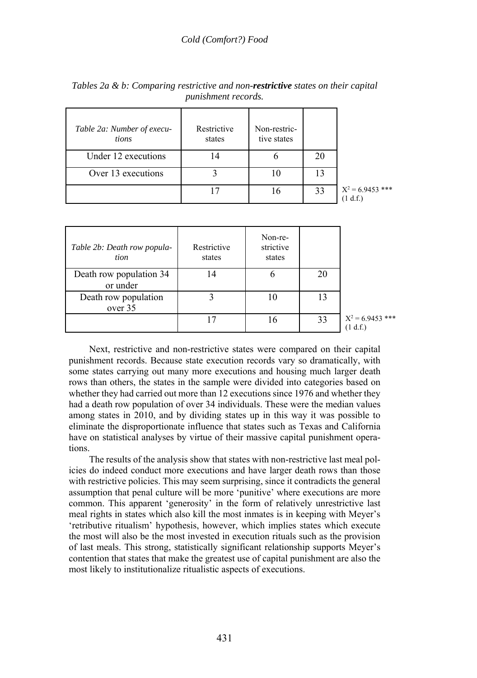| Table 2a: Number of execu-<br>tions | Restrictive<br>states | Non-restric-<br>tive states |    |                              |
|-------------------------------------|-----------------------|-----------------------------|----|------------------------------|
| Under 12 executions                 | 4                     |                             | 20 |                              |
| Over 13 executions                  |                       | 10                          | 13 |                              |
|                                     | 17                    | 16                          | 33 | $X^2$ = 6.9453 ***<br>1 d.f. |

*Tables 2a & b: Comparing restrictive and non-restrictive states on their capital punishment records.* 

| Table 2b: Death row popula-<br>tion | Restrictive<br>states | Non-re-<br>strictive<br>states |    |                                |
|-------------------------------------|-----------------------|--------------------------------|----|--------------------------------|
| Death row population 34<br>or under | 14                    | O                              | 20 |                                |
| Death row population<br>over 35     |                       | 10                             | 13 |                                |
|                                     |                       | 16                             | 33 | $X^2$ = 6.9453 ***<br>(1 d.f.) |

Next, restrictive and non-restrictive states were compared on their capital punishment records. Because state execution records vary so dramatically, with some states carrying out many more executions and housing much larger death rows than others, the states in the sample were divided into categories based on whether they had carried out more than 12 executions since 1976 and whether they had a death row population of over 34 individuals. These were the median values among states in 2010, and by dividing states up in this way it was possible to eliminate the disproportionate influence that states such as Texas and California have on statistical analyses by virtue of their massive capital punishment operations.

The results of the analysis show that states with non-restrictive last meal policies do indeed conduct more executions and have larger death rows than those with restrictive policies. This may seem surprising, since it contradicts the general assumption that penal culture will be more 'punitive' where executions are more common. This apparent 'generosity' in the form of relatively unrestrictive last meal rights in states which also kill the most inmates is in keeping with Meyer's 'retributive ritualism' hypothesis, however, which implies states which execute the most will also be the most invested in execution rituals such as the provision of last meals. This strong, statistically significant relationship supports Meyer's contention that states that make the greatest use of capital punishment are also the most likely to institutionalize ritualistic aspects of executions.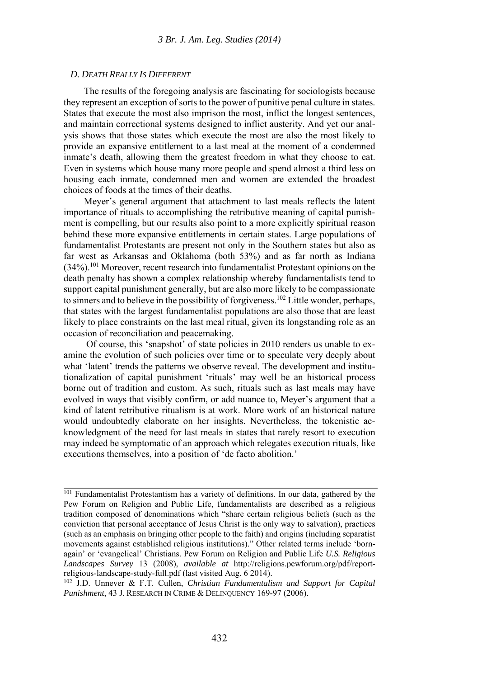#### *D. DEATH REALLY IS DIFFERENT*

The results of the foregoing analysis are fascinating for sociologists because they represent an exception of sorts to the power of punitive penal culture in states. States that execute the most also imprison the most, inflict the longest sentences, and maintain correctional systems designed to inflict austerity. And yet our analysis shows that those states which execute the most are also the most likely to provide an expansive entitlement to a last meal at the moment of a condemned inmate's death, allowing them the greatest freedom in what they choose to eat. Even in systems which house many more people and spend almost a third less on housing each inmate, condemned men and women are extended the broadest choices of foods at the times of their deaths.

Meyer's general argument that attachment to last meals reflects the latent importance of rituals to accomplishing the retributive meaning of capital punishment is compelling, but our results also point to a more explicitly spiritual reason behind these more expansive entitlements in certain states. Large populations of fundamentalist Protestants are present not only in the Southern states but also as far west as Arkansas and Oklahoma (both 53%) and as far north as Indiana (34%).101 Moreover, recent research into fundamentalist Protestant opinions on the death penalty has shown a complex relationship whereby fundamentalists tend to support capital punishment generally, but are also more likely to be compassionate to sinners and to believe in the possibility of forgiveness.<sup>102</sup> Little wonder, perhaps, that states with the largest fundamentalist populations are also those that are least likely to place constraints on the last meal ritual, given its longstanding role as an occasion of reconciliation and peacemaking.

 Of course, this 'snapshot' of state policies in 2010 renders us unable to examine the evolution of such policies over time or to speculate very deeply about what 'latent' trends the patterns we observe reveal. The development and institutionalization of capital punishment 'rituals' may well be an historical process borne out of tradition and custom. As such, rituals such as last meals may have evolved in ways that visibly confirm, or add nuance to, Meyer's argument that a kind of latent retributive ritualism is at work. More work of an historical nature would undoubtedly elaborate on her insights. Nevertheless, the tokenistic acknowledgment of the need for last meals in states that rarely resort to execution may indeed be symptomatic of an approach which relegates execution rituals, like executions themselves, into a position of 'de facto abolition.'

<sup>&</sup>lt;sup>101</sup> Fundamentalist Protestantism has a variety of definitions. In our data, gathered by the Pew Forum on Religion and Public Life, fundamentalists are described as a religious tradition composed of denominations which "share certain religious beliefs (such as the conviction that personal acceptance of Jesus Christ is the only way to salvation), practices (such as an emphasis on bringing other people to the faith) and origins (including separatist movements against established religious institutions)." Other related terms include 'bornagain' or 'evangelical' Christians. Pew Forum on Religion and Public Life *U.S. Religious Landscapes Survey* 13 (2008), *available at* http://religions.pewforum.org/pdf/reportreligious-landscape-study-full.pdf (last visited Aug. 6 2014).<br><sup>102</sup> J.D. Unnever & F.T. Cullen, *Christian Fundamentalism and Support for Capital* 

*Punishment*, 43 J. RESEARCH IN CRIME & DELINQUENCY 169-97 (2006).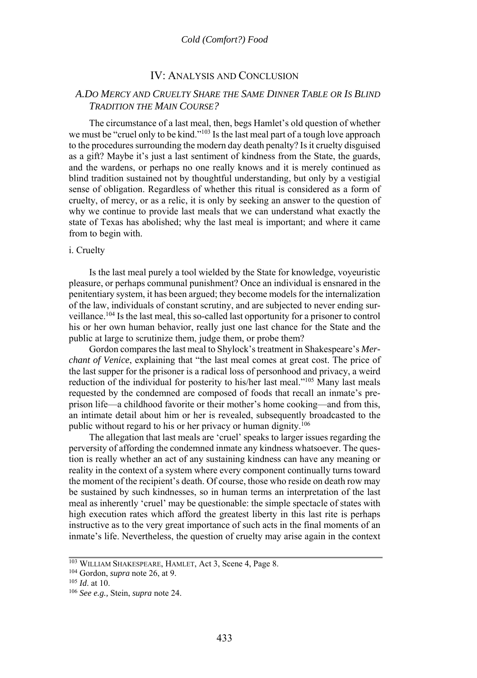#### IV: ANALYSIS AND CONCLUSION

#### *A.DO MERCY AND CRUELTY SHARE THE SAME DINNER TABLE OR IS BLIND TRADITION THE MAIN COURSE?*

The circumstance of a last meal, then, begs Hamlet's old question of whether we must be "cruel only to be kind."103 Is the last meal part of a tough love approach to the procedures surrounding the modern day death penalty? Is it cruelty disguised as a gift? Maybe it's just a last sentiment of kindness from the State, the guards, and the wardens, or perhaps no one really knows and it is merely continued as blind tradition sustained not by thoughtful understanding, but only by a vestigial sense of obligation. Regardless of whether this ritual is considered as a form of cruelty, of mercy, or as a relic, it is only by seeking an answer to the question of why we continue to provide last meals that we can understand what exactly the state of Texas has abolished; why the last meal is important; and where it came from to begin with.

#### i. Cruelty

Is the last meal purely a tool wielded by the State for knowledge, voyeuristic pleasure, or perhaps communal punishment? Once an individual is ensnared in the penitentiary system, it has been argued; they become models for the internalization of the law, individuals of constant scrutiny, and are subjected to never ending surveillance.104 Is the last meal, this so-called last opportunity for a prisoner to control his or her own human behavior, really just one last chance for the State and the public at large to scrutinize them, judge them, or probe them?

Gordon compares the last meal to Shylock's treatment in Shakespeare's *Merchant of Venice*, explaining that "the last meal comes at great cost. The price of the last supper for the prisoner is a radical loss of personhood and privacy, a weird reduction of the individual for posterity to his/her last meal."105 Many last meals requested by the condemned are composed of foods that recall an inmate's preprison life—a childhood favorite or their mother's home cooking—and from this, an intimate detail about him or her is revealed, subsequently broadcasted to the public without regard to his or her privacy or human dignity.106

The allegation that last meals are 'cruel' speaks to larger issues regarding the perversity of affording the condemned inmate any kindness whatsoever. The question is really whether an act of any sustaining kindness can have any meaning or reality in the context of a system where every component continually turns toward the moment of the recipient's death. Of course, those who reside on death row may be sustained by such kindnesses, so in human terms an interpretation of the last meal as inherently 'cruel' may be questionable: the simple spectacle of states with high execution rates which afford the greatest liberty in this last rite is perhaps instructive as to the very great importance of such acts in the final moments of an inmate's life. Nevertheless, the question of cruelty may arise again in the context

<sup>103</sup> WILLIAM SHAKESPEARE, HAMLET, Act 3, Scene 4, Page 8. 104 Gordon, *supra* note 26, at 9. 105 *Id*. at 10. 106 *See e.g.,* Stein, *supra* note 24.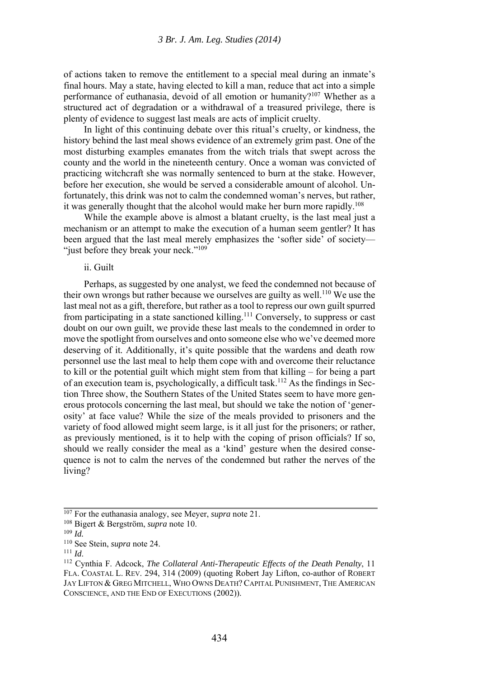of actions taken to remove the entitlement to a special meal during an inmate's final hours. May a state, having elected to kill a man, reduce that act into a simple performance of euthanasia, devoid of all emotion or humanity?<sup>107</sup> Whether as a structured act of degradation or a withdrawal of a treasured privilege, there is plenty of evidence to suggest last meals are acts of implicit cruelty.

In light of this continuing debate over this ritual's cruelty, or kindness, the history behind the last meal shows evidence of an extremely grim past. One of the most disturbing examples emanates from the witch trials that swept across the county and the world in the nineteenth century. Once a woman was convicted of practicing witchcraft she was normally sentenced to burn at the stake. However, before her execution, she would be served a considerable amount of alcohol. Unfortunately, this drink was not to calm the condemned woman's nerves, but rather, it was generally thought that the alcohol would make her burn more rapidly.<sup>108</sup>

While the example above is almost a blatant cruelty, is the last meal just a mechanism or an attempt to make the execution of a human seem gentler? It has been argued that the last meal merely emphasizes the 'softer side' of society— "just before they break your neck."<sup>109</sup>

ii. Guilt

Perhaps, as suggested by one analyst, we feed the condemned not because of their own wrongs but rather because we ourselves are guilty as well.<sup>110</sup> We use the last meal not as a gift, therefore, but rather as a tool to repress our own guilt spurred from participating in a state sanctioned killing.<sup>111</sup> Conversely, to suppress or cast doubt on our own guilt, we provide these last meals to the condemned in order to move the spotlight from ourselves and onto someone else who we've deemed more deserving of it. Additionally, it's quite possible that the wardens and death row personnel use the last meal to help them cope with and overcome their reluctance to kill or the potential guilt which might stem from that killing – for being a part of an execution team is, psychologically, a difficult task.112 As the findings in Section Three show, the Southern States of the United States seem to have more generous protocols concerning the last meal, but should we take the notion of 'generosity' at face value? While the size of the meals provided to prisoners and the variety of food allowed might seem large, is it all just for the prisoners; or rather, as previously mentioned, is it to help with the coping of prison officials? If so, should we really consider the meal as a 'kind' gesture when the desired consequence is not to calm the nerves of the condemned but rather the nerves of the living?

<sup>107</sup> For the euthanasia analogy, see Meyer, *supra* note 21.<br>
<sup>108</sup> Bigert & Bergström, *supra* note 10.<br>
<sup>109</sup> *Id.*<br>
<sup>110</sup> See Stein, *supra* note 24.

<sup>111</sup> *Id.* 111 *Id.* 111 See Stein, suppract 24. 111 *Id.* 112 Cynthia F. Adcock, *The Collateral Anti-Therapeutic Effects of the Death Penalty*, 11 FLA. COASTAL L. REV. 294, 314 (2009) (quoting Robert Jay Lifton, co-author of ROBERT JAY LIFTON & GREG MITCHELL, WHO OWNS DEATH? CAPITAL PUNISHMENT, THE AMERICAN CONSCIENCE, AND THE END OF EXECUTIONS (2002)).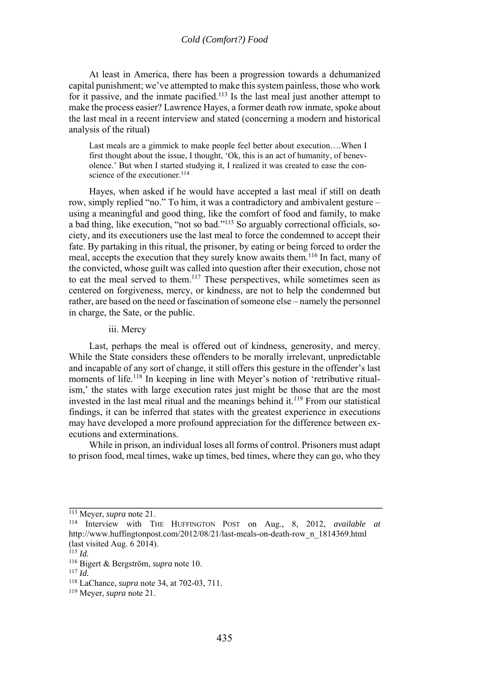At least in America, there has been a progression towards a dehumanized capital punishment; we've attempted to make this system painless, those who work for it passive, and the inmate pacified.<sup>113</sup> Is the last meal just another attempt to make the process easier? Lawrence Hayes, a former death row inmate, spoke about the last meal in a recent interview and stated (concerning a modern and historical analysis of the ritual)

Last meals are a gimmick to make people feel better about execution….When I first thought about the issue, I thought, 'Ok, this is an act of humanity, of benevolence.' But when I started studying it, I realized it was created to ease the conscience of the executioner.<sup>114</sup>

Hayes, when asked if he would have accepted a last meal if still on death row, simply replied "no." To him, it was a contradictory and ambivalent gesture – using a meaningful and good thing, like the comfort of food and family, to make a bad thing, like execution, "not so bad."115 So arguably correctional officials, society, and its executioners use the last meal to force the condemned to accept their fate. By partaking in this ritual, the prisoner, by eating or being forced to order the meal, accepts the execution that they surely know awaits them.116 In fact, many of the convicted, whose guilt was called into question after their execution, chose not to eat the meal served to them.<sup>117</sup> These perspectives, while sometimes seen as centered on forgiveness, mercy, or kindness, are not to help the condemned but rather, are based on the need or fascination of someone else – namely the personnel in charge, the Sate, or the public.

#### iii. Mercy

Last, perhaps the meal is offered out of kindness, generosity, and mercy. While the State considers these offenders to be morally irrelevant, unpredictable and incapable of any sort of change, it still offers this gesture in the offender's last moments of life.<sup>118</sup> In keeping in line with Meyer's notion of 'retributive ritualism,' the states with large execution rates just might be those that are the most invested in the last meal ritual and the meanings behind it.119 From our statistical findings, it can be inferred that states with the greatest experience in executions may have developed a more profound appreciation for the difference between executions and exterminations.

While in prison, an individual loses all forms of control. Prisoners must adapt to prison food, meal times, wake up times, bed times, where they can go, who they

<sup>113</sup> Meyer, *supra* note 21. 114 Interview with THE HUFFINGTON POST on Aug., 8, 2012, *available at* http://www.huffingtonpost.com/2012/08/21/last-meals-on-death-row\_n\_1814369.html (last visited Aug. 6 2014).<br> $^{115}$  *Id.* 

<sup>115</sup> *Id.* 116 Bigert & Bergström, *supra* note 10. 117 *Id.* 118 LaChance, *supra* note 34, at 702-03, 711. 119 Meyer, *supra* note 21.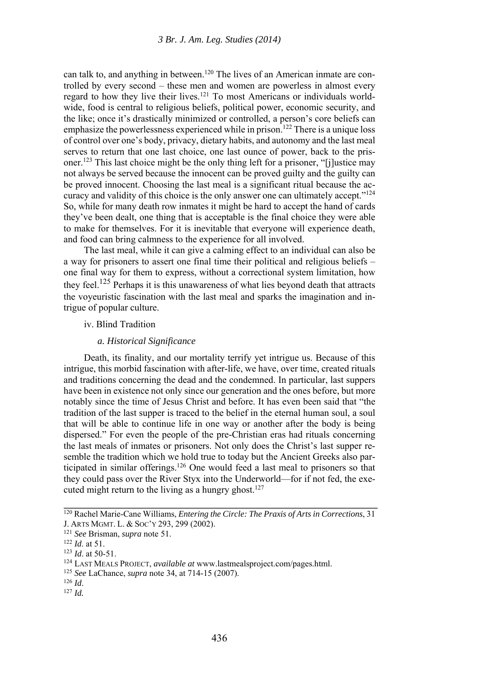can talk to, and anything in between.<sup>120</sup> The lives of an American inmate are controlled by every second – these men and women are powerless in almost every regard to how they live their lives.121 To most Americans or individuals worldwide, food is central to religious beliefs, political power, economic security, and the like; once it's drastically minimized or controlled, a person's core beliefs can emphasize the powerlessness experienced while in prison.<sup>122</sup> There is a unique loss of control over one's body, privacy, dietary habits, and autonomy and the last meal serves to return that one last choice, one last ounce of power, back to the prisoner.123 This last choice might be the only thing left for a prisoner, "[j]ustice may not always be served because the innocent can be proved guilty and the guilty can be proved innocent. Choosing the last meal is a significant ritual because the accuracy and validity of this choice is the only answer one can ultimately accept."<sup>124</sup> So, while for many death row inmates it might be hard to accept the hand of cards they've been dealt, one thing that is acceptable is the final choice they were able to make for themselves. For it is inevitable that everyone will experience death, and food can bring calmness to the experience for all involved.

The last meal, while it can give a calming effect to an individual can also be a way for prisoners to assert one final time their political and religious beliefs – one final way for them to express, without a correctional system limitation, how they feel.125 Perhaps it is this unawareness of what lies beyond death that attracts the voyeuristic fascination with the last meal and sparks the imagination and intrigue of popular culture.

#### iv. Blind Tradition

#### *a. Historical Significance*

Death, its finality, and our mortality terrify yet intrigue us. Because of this intrigue, this morbid fascination with after-life, we have, over time, created rituals and traditions concerning the dead and the condemned. In particular, last suppers have been in existence not only since our generation and the ones before, but more notably since the time of Jesus Christ and before. It has even been said that "the tradition of the last supper is traced to the belief in the eternal human soul, a soul that will be able to continue life in one way or another after the body is being dispersed." For even the people of the pre-Christian eras had rituals concerning the last meals of inmates or prisoners. Not only does the Christ's last supper resemble the tradition which we hold true to today but the Ancient Greeks also participated in similar offerings.126 One would feed a last meal to prisoners so that they could pass over the River Styx into the Underworld—for if not fed, the executed might return to the living as a hungry ghost.<sup>127</sup>

<sup>120</sup> Rachel Marie-Cane Williams, *Entering the Circle: The Praxis of Arts in Corrections*, 31 J. ARTS MGMT. L. & Soc' Y 293, 299 (2002).<br>
<sup>121</sup> *See* Brisman, *supra* note 51.<br>
<sup>122</sup> *Id.* at 51.<br>
<sup>122</sup> *Id.* at 50-51.<br>
<sup>123</sup> *Id.* at 50-51.<br>
<sup>124</sup> LAST MEALS PROJECT, *available at* www.lastmealsproject.com/pages.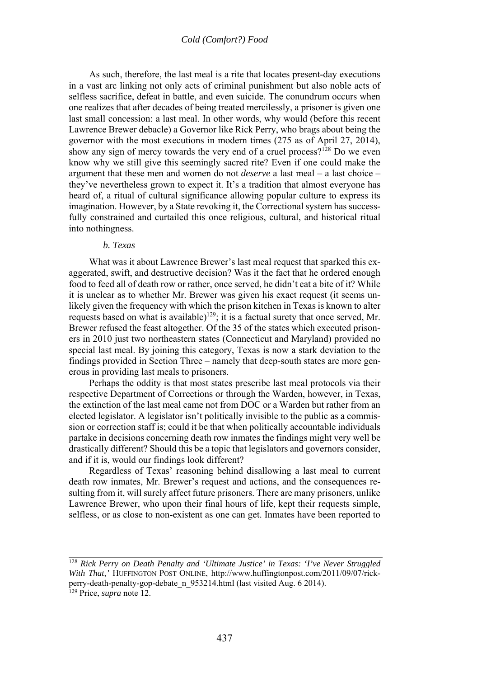As such, therefore, the last meal is a rite that locates present-day executions in a vast arc linking not only acts of criminal punishment but also noble acts of selfless sacrifice, defeat in battle, and even suicide. The conundrum occurs when one realizes that after decades of being treated mercilessly, a prisoner is given one last small concession: a last meal. In other words, why would (before this recent Lawrence Brewer debacle) a Governor like Rick Perry, who brags about being the governor with the most executions in modern times (275 as of April 27, 2014), show any sign of mercy towards the very end of a cruel process?<sup>128</sup> Do we even know why we still give this seemingly sacred rite? Even if one could make the argument that these men and women do not *deserve* a last meal – a last choice – they've nevertheless grown to expect it. It's a tradition that almost everyone has heard of, a ritual of cultural significance allowing popular culture to express its imagination. However, by a State revoking it, the Correctional system has successfully constrained and curtailed this once religious, cultural, and historical ritual into nothingness.

#### *b. Texas*

What was it about Lawrence Brewer's last meal request that sparked this exaggerated, swift, and destructive decision? Was it the fact that he ordered enough food to feed all of death row or rather, once served, he didn't eat a bite of it? While it is unclear as to whether Mr. Brewer was given his exact request (it seems unlikely given the frequency with which the prison kitchen in Texas is known to alter requests based on what is available)<sup>129</sup>; it is a factual surety that once served, Mr. Brewer refused the feast altogether. Of the 35 of the states which executed prisoners in 2010 just two northeastern states (Connecticut and Maryland) provided no special last meal. By joining this category, Texas is now a stark deviation to the findings provided in Section Three – namely that deep-south states are more generous in providing last meals to prisoners.

Perhaps the oddity is that most states prescribe last meal protocols via their respective Department of Corrections or through the Warden, however, in Texas, the extinction of the last meal came not from DOC or a Warden but rather from an elected legislator. A legislator isn't politically invisible to the public as a commission or correction staff is; could it be that when politically accountable individuals partake in decisions concerning death row inmates the findings might very well be drastically different? Should this be a topic that legislators and governors consider, and if it is, would our findings look different?

Regardless of Texas' reasoning behind disallowing a last meal to current death row inmates, Mr. Brewer's request and actions, and the consequences resulting from it, will surely affect future prisoners. There are many prisoners, unlike Lawrence Brewer, who upon their final hours of life, kept their requests simple, selfless, or as close to non-existent as one can get. Inmates have been reported to

<sup>128</sup> *Rick Perry on Death Penalty and 'Ultimate Justice' in Texas: 'I've Never Struggled With That*,*'* HUFFINGTON POST ONLINE, http://www.huffingtonpost.com/2011/09/07/rickperry-death-penalty-gop-debate\_n\_953214.html (last visited Aug. 6 2014). 129 Price, *supra* note 12.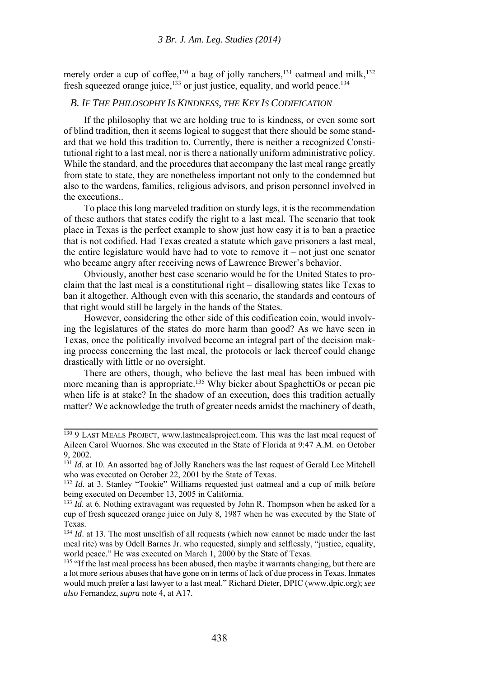merely order a cup of coffee,<sup>130</sup> a bag of jolly ranchers,<sup>131</sup> oatmeal and milk,<sup>132</sup> fresh squeezed orange juice, $133$  or just justice, equality, and world peace.<sup>134</sup>

#### *B. IF THE PHILOSOPHY IS KINDNESS, THE KEY IS CODIFICATION*

If the philosophy that we are holding true to is kindness, or even some sort of blind tradition, then it seems logical to suggest that there should be some standard that we hold this tradition to. Currently, there is neither a recognized Constitutional right to a last meal, nor is there a nationally uniform administrative policy. While the standard, and the procedures that accompany the last meal range greatly from state to state, they are nonetheless important not only to the condemned but also to the wardens, families, religious advisors, and prison personnel involved in the executions..

To place this long marveled tradition on sturdy legs, it is the recommendation of these authors that states codify the right to a last meal. The scenario that took place in Texas is the perfect example to show just how easy it is to ban a practice that is not codified. Had Texas created a statute which gave prisoners a last meal, the entire legislature would have had to vote to remove it – not just one senator who became angry after receiving news of Lawrence Brewer's behavior.

Obviously, another best case scenario would be for the United States to proclaim that the last meal is a constitutional right – disallowing states like Texas to ban it altogether. Although even with this scenario, the standards and contours of that right would still be largely in the hands of the States.

However, considering the other side of this codification coin, would involving the legislatures of the states do more harm than good? As we have seen in Texas, once the politically involved become an integral part of the decision making process concerning the last meal, the protocols or lack thereof could change drastically with little or no oversight.

There are others, though, who believe the last meal has been imbued with more meaning than is appropriate.<sup>135</sup> Why bicker about SpaghettiOs or pecan pie when life is at stake? In the shadow of an execution, does this tradition actually matter? We acknowledge the truth of greater needs amidst the machinery of death,

<sup>&</sup>lt;sup>130</sup> 9 LAST MEALS PROJECT, www.lastmealsproject.com. This was the last meal request of Aileen Carol Wuornos. She was executed in the State of Florida at 9:47 A.M. on October 9, 2002.

<sup>&</sup>lt;sup>131</sup> *Id.* at 10. An assorted bag of Jolly Ranchers was the last request of Gerald Lee Mitchell who was executed on October 22, 2001 by the State of Texas.

<sup>132</sup> *Id*. at 3. Stanley "Tookie" Williams requested just oatmeal and a cup of milk before being executed on December 13, 2005 in California.

<sup>&</sup>lt;sup>133</sup> *Id.* at 6. Nothing extravagant was requested by John R. Thompson when he asked for a cup of fresh squeezed orange juice on July 8, 1987 when he was executed by the State of Texas.

<sup>&</sup>lt;sup>134</sup> *Id.* at 13. The most unselfish of all requests (which now cannot be made under the last meal rite) was by Odell Barnes Jr. who requested, simply and selflessly, "justice, equality, world peace." He was executed on March 1, 2000 by the State of Texas.<br><sup>135</sup> "If the last meal process has been abused, then maybe it warrants changing, but there are

a lot more serious abuses that have gone on in terms of lack of due process in Texas. Inmates would much prefer a last lawyer to a last meal." Richard Dieter, DPIC (www.dpic.org); *see also* Fernandez, *supra* note 4, at A17.